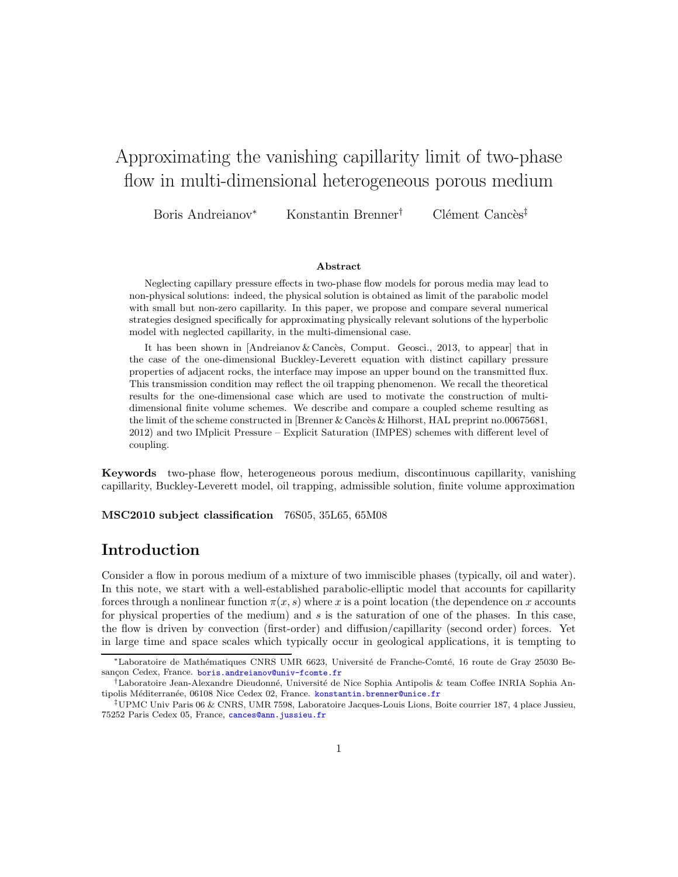# Approximating the vanishing capillarity limit of two-phase flow in multi-dimensional heterogeneous porous medium

Boris Andreianov<sup>∗</sup> Konstantin Brenner<sup>†</sup> Clément Cancès<sup>‡</sup>

#### Abstract

Neglecting capillary pressure effects in two-phase flow models for porous media may lead to non-physical solutions: indeed, the physical solution is obtained as limit of the parabolic model with small but non-zero capillarity. In this paper, we propose and compare several numerical strategies designed specifically for approximating physically relevant solutions of the hyperbolic model with neglected capillarity, in the multi-dimensional case.

It has been shown in  $[Andreianov \& Cancès, Comput. Geosci., 2013, to appear] that in$ the case of the one-dimensional Buckley-Leverett equation with distinct capillary pressure properties of adjacent rocks, the interface may impose an upper bound on the transmitted flux. This transmission condition may reflect the oil trapping phenomenon. We recall the theoretical results for the one-dimensional case which are used to motivate the construction of multidimensional finite volume schemes. We describe and compare a coupled scheme resulting as the limit of the scheme constructed in [Brenner & Cancès & Hilhorst, HAL preprint no.00675681, 2012) and two IMplicit Pressure – Explicit Saturation (IMPES) schemes with different level of coupling.

Keywords two-phase flow, heterogeneous porous medium, discontinuous capillarity, vanishing capillarity, Buckley-Leverett model, oil trapping, admissible solution, finite volume approximation

MSC2010 subject classification 76S05, 35L65, 65M08

## Introduction

Consider a flow in porous medium of a mixture of two immiscible phases (typically, oil and water). In this note, we start with a well-established parabolic-elliptic model that accounts for capillarity forces through a nonlinear function  $\pi(x, s)$  where x is a point location (the dependence on x accounts for physical properties of the medium) and  $s$  is the saturation of one of the phases. In this case, the flow is driven by convection (first-order) and diffusion/capillarity (second order) forces. Yet in large time and space scales which typically occur in geological applications, it is tempting to

<sup>\*</sup>Laboratoire de Mathématiques CNRS UMR 6623, Université de Franche-Comté, 16 route de Gray 25030 Besançon Cedex, France. [boris.andreianov@univ-fcomte.fr](mailto:Boris Andreianov <boris.andreianov@univ-fcomte.fr>)

<sup>&</sup>lt;sup>†</sup>Laboratoire Jean-Alexandre Dieudonné, Université de Nice Sophia Antipolis & team Coffee INRIA Sophia Antipolis Méditerranée, 06108 Nice Cedex 02, France. [konstantin.brenner@unice.fr](mailto:Konstantin Brenner <konstantin.brenner@unice.fr>)

<sup>‡</sup>UPMC Univ Paris 06 & CNRS, UMR 7598, Laboratoire Jacques-Louis Lions, Boite courrier 187, 4 place Jussieu, 75252 Paris Cedex 05, France, [cances@ann.jussieu.fr](mailto:Cl\unhbox \voidb@x \bgroup \let \unhbox \voidb@x \setbox \@tempboxa \hbox {e\global \mathchardef \accent@spacefactor \spacefactor }\accent 19 e\egroup \spacefactor \accent@spacefactor ment Canc\unhbox \voidb@x \bgroup \let \unhbox \voidb@x \setbox \@tempboxa \hbox {e\global \mathchardef \accent@spacefactor \spacefactor }\accent 18 e\egroup \spacefactor \accent@spacefactor s <cances@ann.jussieu.fr>)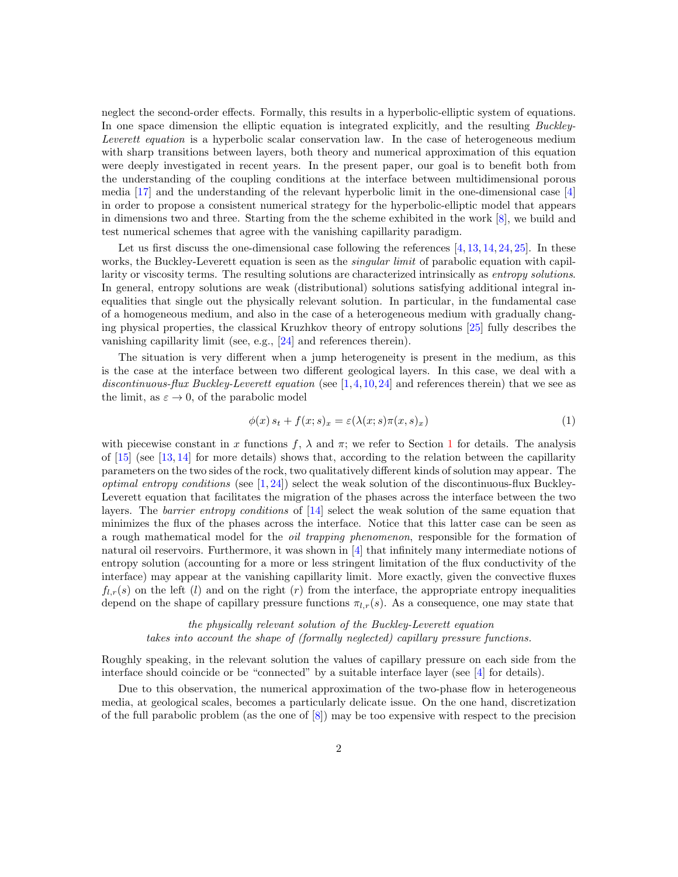neglect the second-order effects. Formally, this results in a hyperbolic-elliptic system of equations. In one space dimension the elliptic equation is integrated explicitly, and the resulting Buckley-Leverett equation is a hyperbolic scalar conservation law. In the case of heterogeneous medium with sharp transitions between layers, both theory and numerical approximation of this equation were deeply investigated in recent years. In the present paper, our goal is to benefit both from the understanding of the coupling conditions at the interface between multidimensional porous media [\[17\]](#page-15-0) and the understanding of the relevant hyperbolic limit in the one-dimensional case [\[4\]](#page-15-1) in order to propose a consistent numerical strategy for the hyperbolic-elliptic model that appears in dimensions two and three. Starting from the the scheme exhibited in the work [\[8\]](#page-15-2), we build and test numerical schemes that agree with the vanishing capillarity paradigm.

Let us first discuss the one-dimensional case following the references  $[4, 13, 14, 24, 25]$  $[4, 13, 14, 24, 25]$  $[4, 13, 14, 24, 25]$  $[4, 13, 14, 24, 25]$  $[4, 13, 14, 24, 25]$  $[4, 13, 14, 24, 25]$  $[4, 13, 14, 24, 25]$  $[4, 13, 14, 24, 25]$ . In these works, the Buckley-Leverett equation is seen as the *singular limit* of parabolic equation with capillarity or viscosity terms. The resulting solutions are characterized intrinsically as entropy solutions. In general, entropy solutions are weak (distributional) solutions satisfying additional integral inequalities that single out the physically relevant solution. In particular, in the fundamental case of a homogeneous medium, and also in the case of a heterogeneous medium with gradually changing physical properties, the classical Kruzhkov theory of entropy solutions [\[25\]](#page-16-1) fully describes the vanishing capillarity limit (see, e.g., [\[24\]](#page-16-0) and references therein).

The situation is very different when a jump heterogeneity is present in the medium, as this is the case at the interface between two different geological layers. In this case, we deal with a discontinuous-flux Buckley-Leverett equation (see  $[1,4,10,24]$  $[1,4,10,24]$  $[1,4,10,24]$  $[1,4,10,24]$  and references therein) that we see as the limit, as  $\varepsilon \to 0$ , of the parabolic model

<span id="page-1-0"></span>
$$
\phi(x) s_t + f(x; s)_x = \varepsilon(\lambda(x; s)\pi(x, s)_x) \tag{1}
$$

with piecewise constant in x functions f,  $\lambda$  and  $\pi$ ; we refer to Section [1](#page-2-0) for details. The analysis of  $[15]$  (see  $[13, 14]$  $[13, 14]$  for more details) shows that, according to the relation between the capillarity parameters on the two sides of the rock, two qualitatively different kinds of solution may appear. The *optimal entropy conditions* (see  $[1, 24]$  $[1, 24]$ ) select the weak solution of the discontinuous-flux Buckley-Leverett equation that facilitates the migration of the phases across the interface between the two layers. The *barrier entropy conditions* of [\[14\]](#page-15-4) select the weak solution of the same equation that minimizes the flux of the phases across the interface. Notice that this latter case can be seen as a rough mathematical model for the oil trapping phenomenon, responsible for the formation of natural oil reservoirs. Furthermore, it was shown in [\[4\]](#page-15-1) that infinitely many intermediate notions of entropy solution (accounting for a more or less stringent limitation of the flux conductivity of the interface) may appear at the vanishing capillarity limit. More exactly, given the convective fluxes  $f_{l,r}(s)$  on the left (l) and on the right (r) from the interface, the appropriate entropy inequalities depend on the shape of capillary pressure functions  $\pi_{l,r}(s)$ . As a consequence, one may state that

the physically relevant solution of the Buckley-Leverett equation takes into account the shape of (formally neglected) capillary pressure functions.

Roughly speaking, in the relevant solution the values of capillary pressure on each side from the interface should coincide or be "connected" by a suitable interface layer (see [\[4\]](#page-15-1) for details).

Due to this observation, the numerical approximation of the two-phase flow in heterogeneous media, at geological scales, becomes a particularly delicate issue. On the one hand, discretization of the full parabolic problem (as the one of [\[8\]](#page-15-2)) may be too expensive with respect to the precision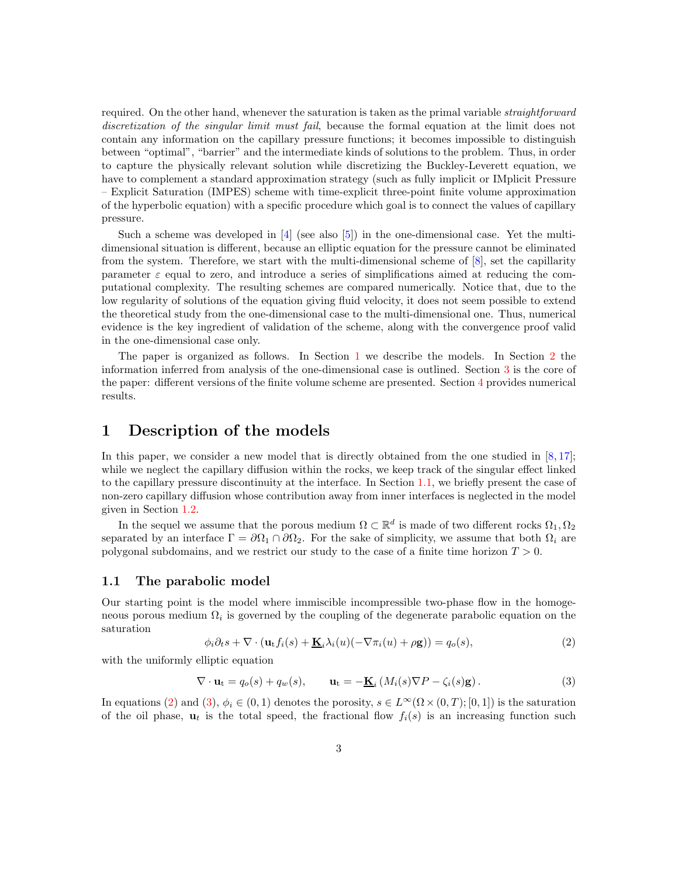required. On the other hand, whenever the saturation is taken as the primal variable *straightforward* discretization of the singular limit must fail, because the formal equation at the limit does not contain any information on the capillary pressure functions; it becomes impossible to distinguish between "optimal", "barrier" and the intermediate kinds of solutions to the problem. Thus, in order to capture the physically relevant solution while discretizing the Buckley-Leverett equation, we have to complement a standard approximation strategy (such as fully implicit or IMplicit Pressure – Explicit Saturation (IMPES) scheme with time-explicit three-point finite volume approximation of the hyperbolic equation) with a specific procedure which goal is to connect the values of capillary pressure.

Such a scheme was developed in  $[4]$  (see also  $[5]$ ) in the one-dimensional case. Yet the multidimensional situation is different, because an elliptic equation for the pressure cannot be eliminated from the system. Therefore, we start with the multi-dimensional scheme of [\[8\]](#page-15-2), set the capillarity parameter  $\varepsilon$  equal to zero, and introduce a series of simplifications aimed at reducing the computational complexity. The resulting schemes are compared numerically. Notice that, due to the low regularity of solutions of the equation giving fluid velocity, it does not seem possible to extend the theoretical study from the one-dimensional case to the multi-dimensional one. Thus, numerical evidence is the key ingredient of validation of the scheme, along with the convergence proof valid in the one-dimensional case only.

The paper is organized as follows. In Section [1](#page-2-0) we describe the models. In Section [2](#page-4-0) the information inferred from analysis of the one-dimensional case is outlined. Section [3](#page-7-0) is the core of the paper: different versions of the finite volume scheme are presented. Section [4](#page-12-0) provides numerical results.

## <span id="page-2-0"></span>1 Description of the models

In this paper, we consider a new model that is directly obtained from the one studied in  $[8, 17]$  $[8, 17]$ ; while we neglect the capillary diffusion within the rocks, we keep track of the singular effect linked to the capillary pressure discontinuity at the interface. In Section [1.1,](#page-2-1) we briefly present the case of non-zero capillary diffusion whose contribution away from inner interfaces is neglected in the model given in Section [1.2.](#page-3-0)

In the sequel we assume that the porous medium  $\Omega \subset \mathbb{R}^d$  is made of two different rocks  $\Omega_1, \Omega_2$ separated by an interface  $\Gamma = \partial \Omega_1 \cap \partial \Omega_2$ . For the sake of simplicity, we assume that both  $\Omega_i$  are polygonal subdomains, and we restrict our study to the case of a finite time horizon  $T > 0$ .

#### <span id="page-2-1"></span>1.1 The parabolic model

Our starting point is the model where immiscible incompressible two-phase flow in the homogeneous porous medium  $\Omega_i$  is governed by the coupling of the degenerate parabolic equation on the saturation

<span id="page-2-2"></span>
$$
\phi_i \partial_t s + \nabla \cdot (\mathbf{u}_t f_i(s) + \underline{\mathbf{K}}_i \lambda_i(u) (-\nabla \pi_i(u) + \rho \mathbf{g})) = q_o(s), \tag{2}
$$

with the uniformly elliptic equation

<span id="page-2-3"></span>
$$
\nabla \cdot \mathbf{u}_{t} = q_{o}(s) + q_{w}(s), \qquad \mathbf{u}_{t} = -\underline{\mathbf{K}}_{i}(M_{i}(s)\nabla P - \zeta_{i}(s)\mathbf{g}). \tag{3}
$$

In equations [\(2\)](#page-2-2) and [\(3\)](#page-2-3),  $\phi_i \in (0,1)$  denotes the porosity,  $s \in L^{\infty}(\Omega \times (0,T);[0,1])$  is the saturation of the oil phase,  $\mathbf{u}_t$  is the total speed, the fractional flow  $f_i(s)$  is an increasing function such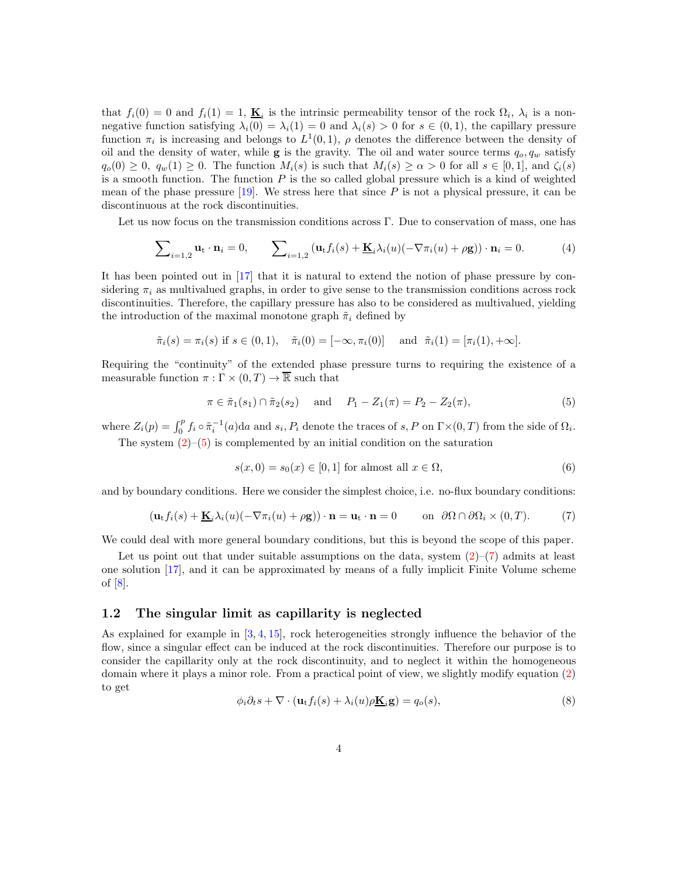that  $f_i(0) = 0$  and  $f_i(1) = 1$ ,  $\underline{\mathbf{K}}_i$  is the intrinsic permeability tensor of the rock  $\Omega_i$ ,  $\lambda_i$  is a nonnegative function satisfying  $\lambda_i(0) = \lambda_i(1) = 0$  and  $\lambda_i(s) > 0$  for  $s \in (0,1)$ , the capillary pressure function  $\pi_i$  is increasing and belongs to  $L^1(0,1)$ ,  $\rho$  denotes the difference between the density of oil and the density of water, while **g** is the gravity. The oil and water source terms  $q_o, q_w$  satisfy  $q_o(0) \geq 0$ ,  $q_w(1) \geq 0$ . The function  $M_i(s)$  is such that  $M_i(s) \geq \alpha > 0$  for all  $s \in [0,1]$ , and  $\zeta_i(s)$ is a smooth function. The function  $P$  is the so called global pressure which is a kind of weighted mean of the phase pressure  $[19]$ . We stress here that since P is not a physical pressure, it can be discontinuous at the rock discontinuities.

Let us now focus on the transmission conditions across Γ. Due to conservation of mass, one has

<span id="page-3-5"></span>
$$
\sum_{i=1,2} \mathbf{u}_{t} \cdot \mathbf{n}_{i} = 0, \qquad \sum_{i=1,2} \left( \mathbf{u}_{t} f_{i}(s) + \underline{\mathbf{K}}_{i} \lambda_{i}(u) (-\nabla \pi_{i}(u) + \rho \mathbf{g}) \right) \cdot \mathbf{n}_{i} = 0. \tag{4}
$$

It has been pointed out in [\[17\]](#page-15-0) that it is natural to extend the notion of phase pressure by considering  $\pi_i$  as multivalued graphs, in order to give sense to the transmission conditions across rock discontinuities. Therefore, the capillary pressure has also to be considered as multivalued, yielding the introduction of the maximal monotone graph  $\tilde{\pi}_i$  defined by

$$
\tilde{\pi}_i(s) = \pi_i(s)
$$
 if  $s \in (0, 1)$ ,  $\tilde{\pi}_i(0) = [-\infty, \pi_i(0)]$  and  $\tilde{\pi}_i(1) = [\pi_i(1), +\infty]$ .

Requiring the "continuity" of the extended phase pressure turns to requiring the existence of a measurable function  $\pi : \Gamma \times (0,T) \to \overline{\mathbb{R}}$  such that

<span id="page-3-1"></span>
$$
\pi \in \tilde{\pi}_1(s_1) \cap \tilde{\pi}_2(s_2) \quad \text{and} \quad P_1 - Z_1(\pi) = P_2 - Z_2(\pi), \tag{5}
$$

where  $Z_i(p) = \int_0^p f_i \circ \tilde{\pi}_i^{-1}(a) da$  and  $s_i, P_i$  denote the traces of  $s, P$  on  $\Gamma \times (0, T)$  from the side of  $\Omega_i$ . The system  $(2)$ – $(5)$  is complemented by an initial condition on the saturation

<span id="page-3-4"></span>
$$
s(x,0) = s_0(x) \in [0,1] \text{ for almost all } x \in \Omega,
$$
\n
$$
(6)
$$

and by boundary conditions. Here we consider the simplest choice, i.e. no-flux boundary conditions:

<span id="page-3-2"></span>
$$
(\mathbf{u}_t f_i(s) + \underline{\mathbf{K}}_i \lambda_i(u)(-\nabla \pi_i(u) + \rho \mathbf{g})) \cdot \mathbf{n} = \mathbf{u}_t \cdot \mathbf{n} = 0 \quad \text{on } \partial \Omega \cap \partial \Omega_i \times (0, T). \tag{7}
$$

We could deal with more general boundary conditions, but this is beyond the scope of this paper.

Let us point out that under suitable assumptions on the data, system  $(2)-(7)$  $(2)-(7)$  admits at least one solution [\[17\]](#page-15-0), and it can be approximated by means of a fully implicit Finite Volume scheme of [\[8\]](#page-15-2).

#### <span id="page-3-0"></span>1.2 The singular limit as capillarity is neglected

As explained for example in [\[3,](#page-15-8) [4,](#page-15-1) [15\]](#page-15-6), rock heterogeneities strongly influence the behavior of the flow, since a singular effect can be induced at the rock discontinuities. Therefore our purpose is to consider the capillarity only at the rock discontinuity, and to neglect it within the homogeneous domain where it plays a minor role. From a practical point of view, we slightly modify equation [\(2\)](#page-2-2) to get

<span id="page-3-3"></span>
$$
\phi_i \partial_t s + \nabla \cdot (\mathbf{u}_t f_i(s) + \lambda_i(u) \rho \underline{\mathbf{K}}_i \mathbf{g}) = q_o(s),
$$
\n(8)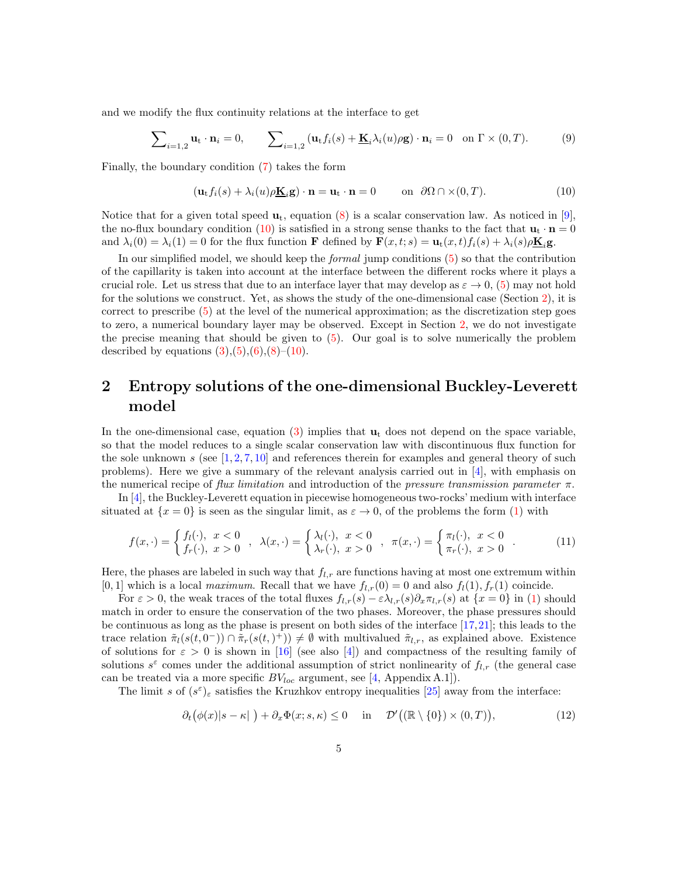and we modify the flux continuity relations at the interface to get

$$
\sum_{i=1,2} \mathbf{u}_{t} \cdot \mathbf{n}_{i} = 0, \qquad \sum_{i=1,2} (\mathbf{u}_{t} f_{i}(s) + \underline{\mathbf{K}}_{i} \lambda_{i}(u) \rho \mathbf{g}) \cdot \mathbf{n}_{i} = 0 \quad \text{on } \Gamma \times (0,T). \tag{9}
$$

Finally, the boundary condition [\(7\)](#page-3-2) takes the form

<span id="page-4-1"></span>
$$
(\mathbf{u}_t f_i(s) + \lambda_i(u)\rho \underline{\mathbf{K}}_i \mathbf{g}) \cdot \mathbf{n} = \mathbf{u}_t \cdot \mathbf{n} = 0 \quad \text{on } \partial\Omega \cap \times (0, T). \tag{10}
$$

Notice that for a given total speed  $\mathbf{u}_t$ , equation [\(8\)](#page-3-3) is a scalar conservation law. As noticed in [\[9\]](#page-15-9), the no-flux boundary condition [\(10\)](#page-4-1) is satisfied in a strong sense thanks to the fact that  $\mathbf{u}_t \cdot \mathbf{n} = 0$ and  $\lambda_i(0) = \lambda_i(1) = 0$  for the flux function **F** defined by  $\mathbf{F}(x, t; s) = \mathbf{u}_t(x, t) f_i(s) + \lambda_i(s) \rho \mathbf{K}_i \mathbf{g}$ .

In our simplified model, we should keep the formal jump conditions [\(5\)](#page-3-1) so that the contribution of the capillarity is taken into account at the interface between the different rocks where it plays a crucial role. Let us stress that due to an interface layer that may develop as  $\varepsilon \to 0$ , [\(5\)](#page-3-1) may not hold for the solutions we construct. Yet, as shows the study of the one-dimensional case (Section [2\)](#page-4-0), it is correct to prescribe [\(5\)](#page-3-1) at the level of the numerical approximation; as the discretization step goes to zero, a numerical boundary layer may be observed. Except in Section [2,](#page-4-0) we do not investigate the precise meaning that should be given to [\(5\)](#page-3-1). Our goal is to solve numerically the problem described by equations  $(3), (5), (6), (8)$  $(3), (5), (6), (8)$  $(3), (5), (6), (8)$  $(3), (5), (6), (8)$  $(3), (5), (6), (8)$  $(3), (5), (6), (8)$ – $(10)$ .

## <span id="page-4-0"></span>2 Entropy solutions of the one-dimensional Buckley-Leverett model

In the one-dimensional case, equation [\(3\)](#page-2-3) implies that  $\mathbf{u}_t$  does not depend on the space variable, so that the model reduces to a single scalar conservation law with discontinuous flux function for the sole unknown s (see  $[1, 2, 7, 10]$  $[1, 2, 7, 10]$  $[1, 2, 7, 10]$  $[1, 2, 7, 10]$  $[1, 2, 7, 10]$  $[1, 2, 7, 10]$  and references therein for examples and general theory of such problems). Here we give a summary of the relevant analysis carried out in  $[4]$ , with emphasis on the numerical recipe of flux limitation and introduction of the pressure transmission parameter  $\pi$ .

In [\[4\]](#page-15-1), the Buckley-Leverett equation in piecewise homogeneous two-rocks' medium with interface situated at  $\{x=0\}$  is seen as the singular limit, as  $\varepsilon \to 0$ , of the problems the form [\(1\)](#page-1-0) with

<span id="page-4-3"></span>
$$
f(x, \cdot) = \begin{cases} f_l(\cdot), & x < 0 \\ f_r(\cdot), & x > 0 \end{cases}, \lambda(x, \cdot) = \begin{cases} \lambda_l(\cdot), & x < 0 \\ \lambda_r(\cdot), & x > 0 \end{cases}, \pi(x, \cdot) = \begin{cases} \pi_l(\cdot), & x < 0 \\ \pi_r(\cdot), & x > 0 \end{cases}.
$$
 (11)

Here, the phases are labeled in such way that  $f_{l,r}$  are functions having at most one extremum within [0, 1] which is a local maximum. Recall that we have  $f_{l,r}(0) = 0$  and also  $f_l(1), f_r(1)$  coincide.

For  $\varepsilon > 0$ , the weak traces of the total fluxes  $f_{l,r}(s) - \varepsilon \lambda_{l,r}(s) \partial_x \pi_{l,r}(s)$  at  $\{x = 0\}$  in [\(1\)](#page-1-0) should match in order to ensure the conservation of the two phases. Moreover, the phase pressures should be continuous as long as the phase is present on both sides of the interface [\[17,](#page-15-0)[21\]](#page-16-3); this leads to the trace relation  $\tilde{\pi}_l(s(t,0^-)) \cap \tilde{\pi}_r(s(t,\tau)) \neq \emptyset$  with multivalued  $\tilde{\pi}_{l,r}$ , as explained above. Existence of solutions for  $\varepsilon > 0$  is shown in [\[16\]](#page-15-11) (see also [\[4\]](#page-15-1)) and compactness of the resulting family of solutions  $s^{\varepsilon}$  comes under the additional assumption of strict nonlinearity of  $f_{l,r}$  (the general case can be treated via a more specific  $BV_{loc}$  argument, see [\[4,](#page-15-1) Appendix A.1]).

The limit s of  $(s^{\varepsilon})_{\varepsilon}$  satisfies the Kruzhkov entropy inequalities [\[25\]](#page-16-1) away from the interface:

<span id="page-4-2"></span>
$$
\partial_t \big( \phi(x) | s - \kappa | \big) + \partial_x \Phi(x; s, \kappa) \le 0 \quad \text{in} \quad \mathcal{D}'\big( (\mathbb{R} \setminus \{0\}) \times (0, T) \big), \tag{12}
$$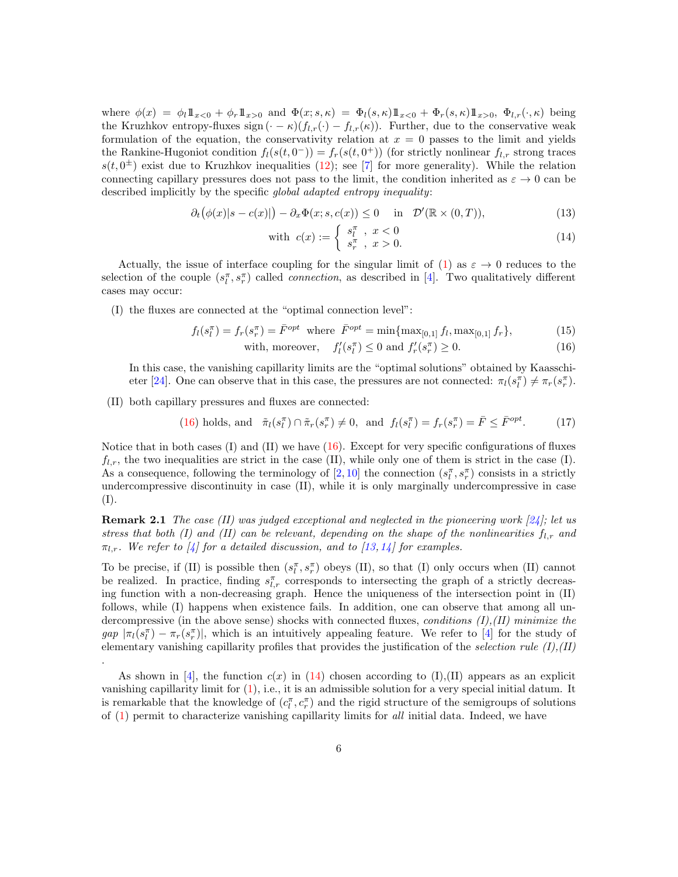where  $\phi(x) = \phi_l \mathbb{1}_{x>0} + \phi_r \mathbb{1}_{x>0}$  and  $\Phi(x; s, \kappa) = \Phi_l(s, \kappa) \mathbb{1}_{x>0} + \Phi_r(s, \kappa) \mathbb{1}_{x>0}$ ,  $\Phi_{l,r}(\cdot, \kappa)$  being the Kruzhkov entropy-fluxes sign  $(-\kappa)(f_{l,r}(\cdot) - f_{l,r}(\kappa))$ . Further, due to the conservative weak formulation of the equation, the conservativity relation at  $x = 0$  passes to the limit and yields the Rankine-Hugoniot condition  $f_l(s(t, 0^-)) = f_r(s(t, 0^+))$  (for strictly nonlinear  $f_{l,r}$  strong traces  $s(t, 0^{\pm})$  exist due to Kruzhkov inequalities [\(12\)](#page-4-2); see [\[7\]](#page-15-10) for more generality). While the relation connecting capillary pressures does not pass to the limit, the condition inherited as  $\varepsilon \to 0$  can be described implicitly by the specific global adapted entropy inequality:

<span id="page-5-1"></span>
$$
\partial_t(\phi(x)|s - c(x)|) - \partial_x \Phi(x; s, c(x)) \le 0 \quad \text{in} \quad \mathcal{D}'(\mathbb{R} \times (0, T)), \tag{13}
$$

with 
$$
c(x) := \begin{cases} s_l^{\pi} , x < 0 \\ s_r^{\pi} , x > 0. \end{cases}
$$
 (14)

Actually, the issue of interface coupling for the singular limit of [\(1\)](#page-1-0) as  $\varepsilon \to 0$  reduces to the selection of the couple  $(s_l^{\pi}, s_r^{\pi})$  called *connection*, as described in [\[4\]](#page-15-1). Two qualitatively different cases may occur:

(I) the fluxes are connected at the "optimal connection level":

<span id="page-5-0"></span>
$$
f_l(s_l^{\pi}) = f_r(s_r^{\pi}) = \bar{F}^{opt} \text{ where } \bar{F}^{opt} = \min\{\max_{[0,1]} f_l, \max_{[0,1]} f_r\},\tag{15}
$$

with, moreover,  $f'_l(s_l^{\pi}) \leq 0$  and  $f'_r(s_r^{\pi}) \geq 0$ . (16)

In this case, the vanishing capillarity limits are the "optimal solutions" obtained by Kaasschi-eter [\[24\]](#page-16-0). One can observe that in this case, the pressures are not connected:  $\pi_l(s_l^{\pi}) \neq \pi_r(s_r^{\pi})$ .

(II) both capillary pressures and fluxes are connected:

.

(16) holds, and 
$$
\tilde{\pi}_l(s_l^{\pi}) \cap \tilde{\pi}_r(s_r^{\pi}) \neq 0
$$
, and  $f_l(s_l^{\pi}) = f_r(s_r^{\pi}) = \bar{F} \leq \bar{F}^{opt}$ . (17)

Notice that in both cases (I) and (II) we have  $(16)$ . Except for very specific configurations of fluxes  $f_{l,r}$ , the two inequalities are strict in the case (II), while only one of them is strict in the case (I). As a consequence, following the terminology of  $[2,10]$  $[2,10]$  the connection  $(s_l^{\pi}, s_r^{\pi})$  consists in a strictly undercompressive discontinuity in case (II), while it is only marginally undercompressive in case (I).

**Remark 2.1** The case (II) was judged exceptional and neglected in the pioneering work [\[24\]](#page-16-0); let us stress that both (I) and (II) can be relevant, depending on the shape of the nonlinearities  $f_{l,r}$  and  $\pi_{l,r}$ . We refer to [\[4\]](#page-15-1) for a detailed discussion, and to [\[13,](#page-15-3) [14\]](#page-15-4) for examples.

To be precise, if (II) is possible then  $(s_l^{\pi}, s_r^{\pi})$  obeys (II), so that (I) only occurs when (II) cannot be realized. In practice, finding  $s_{l,r}^{\pi}$  corresponds to intersecting the graph of a strictly decreasing function with a non-decreasing graph. Hence the uniqueness of the intersection point in (II) follows, while (I) happens when existence fails. In addition, one can observe that among all undercompressive (in the above sense) shocks with connected fluxes, *conditions*  $(I), (II)$  minimize the  $gap |\pi_l(s_l^{\pi}) - \pi_r(s_r^{\pi})|$ , which is an intuitively appealing feature. We refer to [\[4\]](#page-15-1) for the study of elementary vanishing capillarity profiles that provides the justification of the selection rule  $(I), (II)$ 

<span id="page-5-2"></span>As shown in [\[4\]](#page-15-1), the function  $c(x)$  in [\(14\)](#page-5-1) chosen according to (I),(II) appears as an explicit vanishing capillarity limit for  $(1)$ , i.e., it is an admissible solution for a very special initial datum. It is remarkable that the knowledge of  $(c_l^{\pi}, c_r^{\pi})$  and the rigid structure of the semigroups of solutions of  $(1)$  permit to characterize vanishing capillarity limits for all initial data. Indeed, we have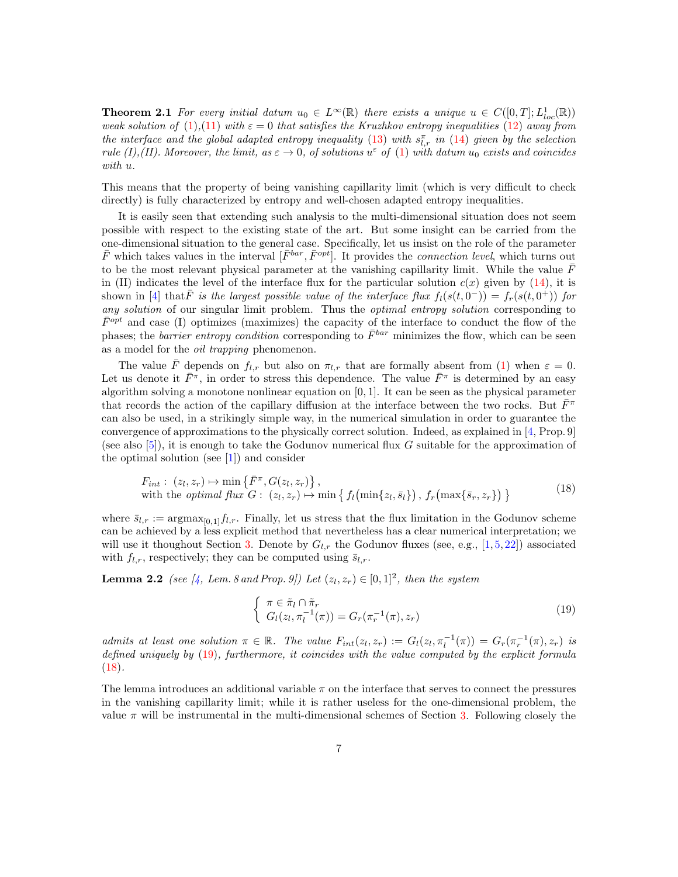**Theorem 2.1** For every initial datum  $u_0 \in L^{\infty}(\mathbb{R})$  there exists a unique  $u \in C([0,T]; L^{1}_{loc}(\mathbb{R}))$ weak solution of [\(1\)](#page-1-0),[\(11\)](#page-4-3) with  $\varepsilon = 0$  that satisfies the Kruzhkov entropy inequalities [\(12\)](#page-4-2) away from the interface and the global adapted entropy inequality [\(13\)](#page-5-1) with  $s_{l,r}^{\pi}$  in [\(14\)](#page-5-1) given by the selection rule (I),(II). Moreover, the limit, as  $\varepsilon \to 0$ , of solutions  $u^{\varepsilon}$  of [\(1\)](#page-1-0) with datum  $u_0$  exists and coincides with u.

This means that the property of being vanishing capillarity limit (which is very difficult to check directly) is fully characterized by entropy and well-chosen adapted entropy inequalities.

It is easily seen that extending such analysis to the multi-dimensional situation does not seem possible with respect to the existing state of the art. But some insight can be carried from the one-dimensional situation to the general case. Specifically, let us insist on the role of the parameter  $\bar{F}$  which takes values in the interval  $[\bar{F}^{bar}, \bar{F}^{opt}]$ . It provides the *connection level*, which turns out to be the most relevant physical parameter at the vanishing capillarity limit. While the value  $\bar{F}$ in (II) indicates the level of the interface flux for the particular solution  $c(x)$  given by [\(14\)](#page-5-1), it is shown in [\[4\]](#page-15-1) that  $\bar{F}$  is the largest possible value of the interface flux  $f_l(s(t, 0^-)) = f_r(s(t, 0^+))$  for any solution of our singular limit problem. Thus the *optimal entropy solution* corresponding to  $\bar{F}^{opt}$  and case (I) optimizes (maximizes) the capacity of the interface to conduct the flow of the phases; the *barrier entropy condition* corresponding to  $\bar{F}^{bar}$  minimizes the flow, which can be seen as a model for the oil trapping phenomenon.

The value  $\bar{F}$  depends on  $f_{l,r}$  but also on  $\pi_{l,r}$  that are formally absent from [\(1\)](#page-1-0) when  $\varepsilon = 0$ . Let us denote it  $\bar{F}^{\pi}$ , in order to stress this dependence. The value  $\bar{F}^{\pi}$  is determined by an easy algorithm solving a monotone nonlinear equation on  $[0, 1]$ . It can be seen as the physical parameter that records the action of the capillary diffusion at the interface between the two rocks. But  $\bar{F}^{\pi}$ can also be used, in a strikingly simple way, in the numerical simulation in order to guarantee the convergence of approximations to the physically correct solution. Indeed, as explained in [\[4,](#page-15-1) Prop. 9] (see also  $[5]$ ), it is enough to take the Godunov numerical flux G suitable for the approximation of the optimal solution (see  $[1]$ ) and consider

<span id="page-6-1"></span>
$$
F_{int}: (z_l, z_r) \mapsto \min\left\{ \bar{F}^{\pi}, G(z_l, z_r) \right\},\
$$
  
with the *optimal flux G*:  $(z_l, z_r) \mapsto \min\left\{ f_l\left(\min\{z_l, \bar{s}_l\}\right), f_r\left(\max\{\bar{s}_r, z_r\}\right) \right\}$  (18)

where  $\bar{s}_{l,r} := \text{argmax}_{[0,1]} f_{l,r}$ . Finally, let us stress that the flux limitation in the Godunov scheme can be achieved by a less explicit method that nevertheless has a clear numerical interpretation; we will use it thoughout Section [3.](#page-7-0) Denote by  $G_{l,r}$  the Godunov fluxes (see, e.g., [\[1,](#page-14-0) [5,](#page-15-7) [22\]](#page-16-4)) associated with  $f_{l,r}$ , respectively; they can be computed using  $\bar{s}_{l,r}$ .

**Lemma 2.2** (see [\[4,](#page-15-1) Lem. 8 and Prop. 9]) Let  $(z_l, z_r) \in [0, 1]^2$ , then the system

<span id="page-6-2"></span><span id="page-6-0"></span>
$$
\begin{cases} \pi \in \tilde{\pi}_l \cap \tilde{\pi}_r \\ G_l(z_l, \pi_l^{-1}(\pi)) = G_r(\pi_r^{-1}(\pi), z_r) \end{cases}
$$
\n(19)

admits at least one solution  $\pi \in \mathbb{R}$ . The value  $F_{int}(z_l, z_r) := G_l(z_l, \pi_l^{-1}(\pi)) = G_r(\pi_r^{-1}(\pi), z_r)$  is defined uniquely by  $(19)$ , furthermore, it coincides with the value computed by the explicit formula  $(18).$  $(18).$ 

The lemma introduces an additional variable  $\pi$  on the interface that serves to connect the pressures in the vanishing capillarity limit; while it is rather useless for the one-dimensional problem, the value  $\pi$  will be instrumental in the multi-dimensional schemes of Section [3.](#page-7-0) Following closely the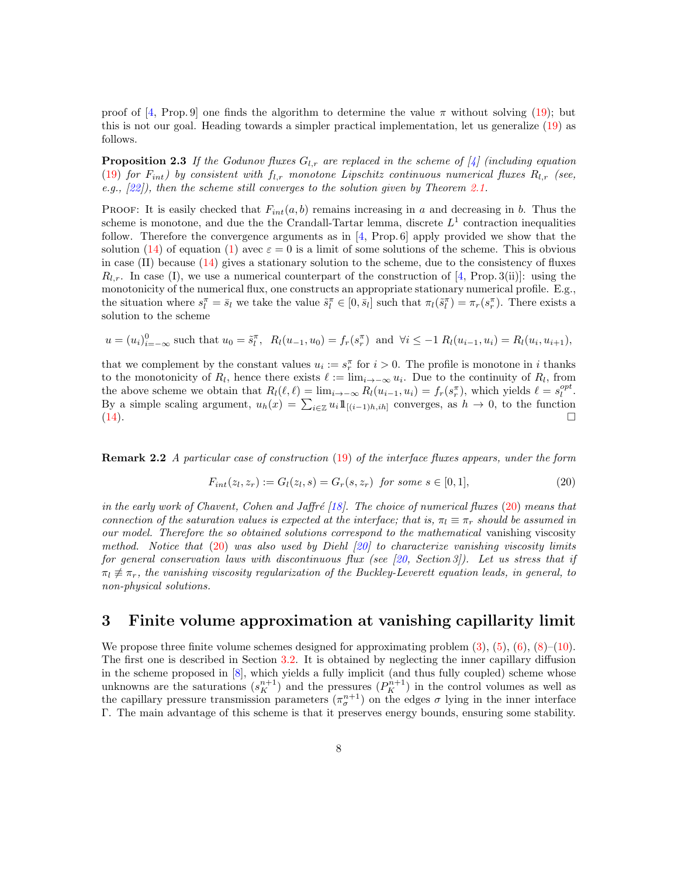<span id="page-7-2"></span>proof of [\[4,](#page-15-1) Prop. 9] one finds the algorithm to determine the value  $\pi$  without solving [\(19\)](#page-6-0); but this is not our goal. Heading towards a simpler practical implementation, let us generalize [\(19\)](#page-6-0) as follows.

**Proposition 2.3** If the Godunov fluxes  $G_{l,r}$  are replaced in the scheme of [\[4\]](#page-15-1) (including equation [\(19\)](#page-6-0) for  $F_{int}$ ) by consistent with  $f_{l,r}$  monotone Lipschitz continuous numerical fluxes  $R_{l,r}$  (see, e.g., [\[22\]](#page-16-4)), then the scheme still converges to the solution given by Theorem [2.1.](#page-5-2)

PROOF: It is easily checked that  $F_{int}(a, b)$  remains increasing in a and decreasing in b. Thus the scheme is monotone, and due the the Crandall-Tartar lemma, discrete  $L^1$  contraction inequalities follow. Therefore the convergence arguments as in [\[4,](#page-15-1) Prop. 6] apply provided we show that the solution [\(14\)](#page-5-1) of equation [\(1\)](#page-1-0) avec  $\varepsilon = 0$  is a limit of some solutions of the scheme. This is obvious in case  $(II)$  because  $(14)$  gives a stationary solution to the scheme, due to the consistency of fluxes  $R_{l,r}$ . In case (I), we use a numerical counterpart of the construction of [\[4,](#page-15-1) Prop. 3(ii)]: using the monotonicity of the numerical flux, one constructs an appropriate stationary numerical profile. E.g., the situation where  $s_l^{\pi} = \bar{s}_l$  we take the value  $\tilde{s}_l^{\pi} \in [0, \bar{s}_l]$  such that  $\pi_l(\tilde{s}_l^{\pi}) = \pi_r(s_r^{\pi})$ . There exists a solution to the scheme

$$
u = (u_i)_{i=-\infty}^0
$$
 such that  $u_0 = \tilde{s}_l^{\pi}$ ,  $R_l(u_{-1}, u_0) = f_r(s_r^{\pi})$  and  $\forall i \leq -1$   $R_l(u_{i-1}, u_i) = R_l(u_i, u_{i+1})$ ,

that we complement by the constant values  $u_i := s_r^{\pi}$  for  $i > 0$ . The profile is monotone in i thanks to the monotonicity of  $R_l$ , hence there exists  $\ell := \lim_{i \to -\infty} u_i$ . Due to the continuity of  $R_l$ , from the above scheme we obtain that  $R_l(\ell, \ell) = \lim_{i \to -\infty} R_l(u_{i-1}, u_i) = f_r(s_r^{\pi})$ , which yields  $\ell = s_l^{opt}$ . By a simple scaling argument,  $u_h(x) = \sum_{i \in \mathbb{Z}} u_i 1\!\!1_{[(i-1)h,ih]}$  converges, as  $h \to 0$ , to the function  $(14)$ .

Remark 2.2 A particular case of construction [\(19\)](#page-6-0) of the interface fluxes appears, under the form

<span id="page-7-1"></span>
$$
F_{int}(z_l, z_r) := G_l(z_l, s) = G_r(s, z_r) \text{ for some } s \in [0, 1],
$$
\n(20)

in the early work of Chavent, Cohen and Jaffré [\[18\]](#page-15-12). The choice of numerical fluxes  $(20)$  means that connection of the saturation values is expected at the interface; that is,  $\pi_l \equiv \pi_r$  should be assumed in our model. Therefore the so obtained solutions correspond to the mathematical vanishing viscosity method. Notice that  $(20)$  was also used by Diehl  $[20]$  to characterize vanishing viscosity limits for general conservation laws with discontinuous flux (see [\[20,](#page-16-5) Section 3]). Let us stress that if  $\pi_l \neq \pi_r$ , the vanishing viscosity regularization of the Buckley-Leverett equation leads, in general, to non-physical solutions.

## <span id="page-7-0"></span>3 Finite volume approximation at vanishing capillarity limit

We propose three finite volume schemes designed for approximating problem  $(3)$ ,  $(5)$ ,  $(6)$ ,  $(8)$ – $(10)$ . The first one is described in Section [3.2.](#page-8-0) It is obtained by neglecting the inner capillary diffusion in the scheme proposed in [\[8\]](#page-15-2), which yields a fully implicit (and thus fully coupled) scheme whose unknowns are the saturations  $(s_K^{n+1})$  and the pressures  $(P_K^{n+1})$  in the control volumes as well as the capillary pressure transmission parameters  $(\pi_{\sigma}^{n+1})$  on the edges  $\sigma$  lying in the inner interface Γ. The main advantage of this scheme is that it preserves energy bounds, ensuring some stability.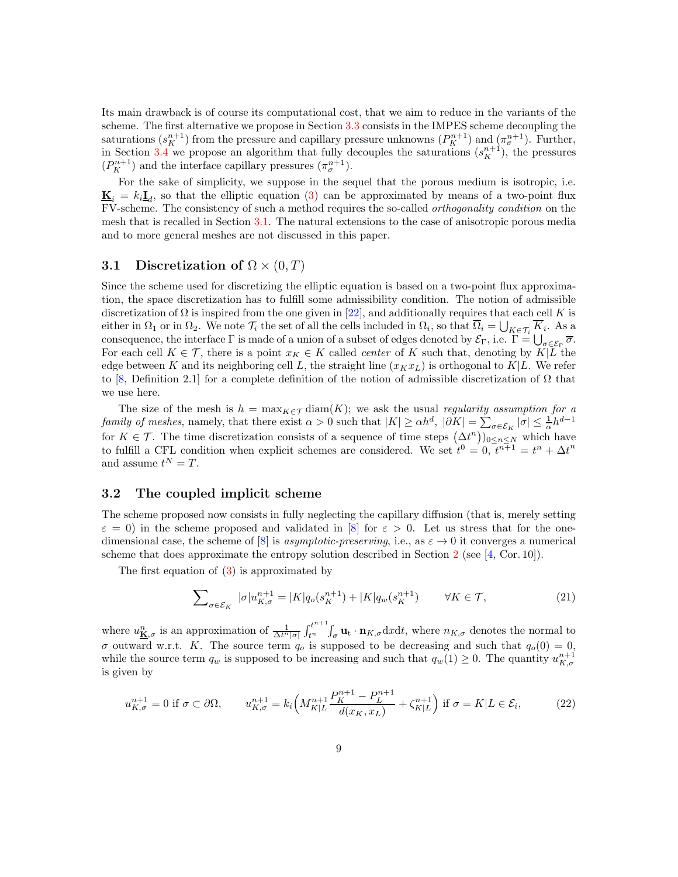Its main drawback is of course its computational cost, that we aim to reduce in the variants of the scheme. The first alternative we propose in Section [3.3](#page-10-0) consists in the IMPES scheme decoupling the saturations  $(s_K^{n+1})$  from the pressure and capillary pressure unknowns  $(P_K^{n+1})$  and  $(\pi_\sigma^{n+1})$ . Further, in Section [3.4](#page-11-0) we propose an algorithm that fully decouples the saturations  $(s_K^{n+1})$ , the pressures  $(P_K^{n+1})$  and the interface capillary pressures  $(\pi_\sigma^{n+1})$ .

For the sake of simplicity, we suppose in the sequel that the porous medium is isotropic, i.e.  $\underline{\mathbf{K}}_i = k_i \underline{\mathbf{I}}_d$ , so that the elliptic equation [\(3\)](#page-2-3) can be approximated by means of a two-point flux FV-scheme. The consistency of such a method requires the so-called orthogonality condition on the mesh that is recalled in Section [3.1.](#page-8-1) The natural extensions to the case of anisotropic porous media and to more general meshes are not discussed in this paper.

## <span id="page-8-1"></span>3.1 Discretization of  $\Omega \times (0, T)$

Since the scheme used for discretizing the elliptic equation is based on a two-point flux approximation, the space discretization has to fulfill some admissibility condition. The notion of admissible discretization of  $\Omega$  is inspired from the one given in [\[22\]](#page-16-4), and additionally requires that each cell K is either in  $\Omega_1$  or in  $\Omega_2$ . We note  $\mathcal{T}_i$  the set of all the cells included in  $\Omega_i$ , so that  $\Omega_i = \bigcup_{K \in \mathcal{T}_i} K_i$ . As a consequence, the interface  $\Gamma$  is made of a union of a subset of edges denoted by  $\mathcal{E}_{\Gamma}$ , i.e.  $\Gamma = \bigcup_{\sigma \in \mathcal{E}_{\Gamma}} \overline{\sigma}$ . For each cell  $K \in \mathcal{T}$ , there is a point  $x_K \in K$  called *center* of K such that, denoting by  $K|\overline{L}$  the edge between K and its neighboring cell L, the straight line  $(x_Kx_L)$  is orthogonal to  $K|L$ . We refer to [\[8,](#page-15-2) Definition 2.1] for a complete definition of the notion of admissible discretization of  $Ω$  that we use here.

The size of the mesh is  $h = \max_{K \in \mathcal{T}} \text{diam}(K)$ ; we ask the usual regularity assumption for a family of meshes, namely, that there exist  $\alpha > 0$  such that  $|K| \ge \alpha h^d$ ,  $|\partial K| = \sum_{\sigma \in \mathcal{E}_K} |\sigma| \le \frac{1}{\alpha} h^{d-1}$ for  $K \in \mathcal{T}$ . The time discretization consists of a sequence of time steps  $(\Delta t^n)_{0 \leq n \leq N}$  which have to fulfill a CFL condition when explicit schemes are considered. We set  $\dot{t}^0 = 0, \dot{t}^{n+1} = t^n + \Delta t^n$ and assume  $t^N = T$ .

#### <span id="page-8-0"></span>3.2 The coupled implicit scheme

The scheme proposed now consists in fully neglecting the capillary diffusion (that is, merely setting  $\varepsilon = 0$ ) in the scheme proposed and validated in [\[8\]](#page-15-2) for  $\varepsilon > 0$ . Let us stress that for the one-dimensional case, the scheme of [\[8\]](#page-15-2) is *asymptotic-preserving*, i.e., as  $\varepsilon \to 0$  it converges a numerical scheme that does approximate the entropy solution described in Section [2](#page-4-0) (see [\[4,](#page-15-1) Cor. 10]).

The first equation of [\(3\)](#page-2-3) is approximated by

<span id="page-8-2"></span>
$$
\sum_{\sigma \in \mathcal{E}_K} |\sigma| u_{K,\sigma}^{n+1} = |K| q_o(s_K^{n+1}) + |K| q_w(s_K^{n+1}) \qquad \forall K \in \mathcal{T}, \tag{21}
$$

where  $u_{\mathbf{K},\sigma}^n$  is an approximation of  $\frac{1}{\Delta t^n |\sigma|} \int_{t^n}^{t^{n+1}}$  $t_{t}$ ,  $\int_{\sigma}$ **u**<sub>t</sub> · **n**<sub>K, $\sigma$ </sub> dxdt, where  $n_{K,\sigma}$  denotes the normal to σ outward w.r.t. K. The source term  $q_o$  is supposed to be decreasing and such that  $q_o(0) = 0$ , while the source term  $q_w$  is supposed to be increasing and such that  $q_w(1) \geq 0$ . The quantity  $u_{K,\sigma}^{n+1}$ is given by

$$
u_{K,\sigma}^{n+1} = 0 \text{ if } \sigma \subset \partial\Omega, \qquad u_{K,\sigma}^{n+1} = k_i \left( M_{K|L}^{n+1} \frac{P_K^{n+1} - P_L^{n+1}}{d(x_K, x_L)} + \zeta_{K|L}^{n+1} \right) \text{ if } \sigma = K|L \in \mathcal{E}_i,\tag{22}
$$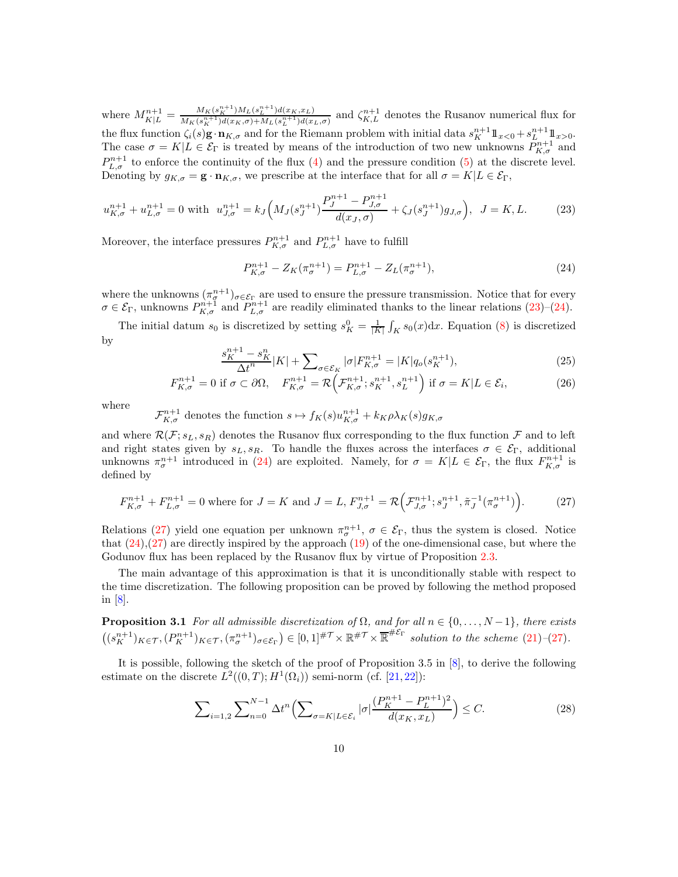where  $M_{K|L}^{n+1} = \frac{M_K(s_K^{n+1})M_L(s_L^{n+1})d(x_K,x_L)}{M_K(s_K^{n+1})d(x_K,\sigma)+M_L(s_L^{n+1})d(x_L)}$  $\frac{M_K(s_K^{n+1})M_L(s_L^{n+1})d(x_K,x_L)}{M_K(s_K^{n+1})d(x_K,\sigma)+M_L(s_L^{n+1})d(x_L,\sigma)}$  and  $\zeta_{K,L}^{n+1}$  denotes the Rusanov numerical flux for the flux function  $\zeta_i(s)$ **g**  $\cdot$ **n**<sub>K, $\sigma$ </sub> and for the Riemann problem with initial data  $s_K^{n+1} \mathbb{1}_{x>0} + s_L^{n+1} \mathbb{1}_{x>0}$ . The case  $\sigma = K | L \in \mathcal{E}_{\Gamma}$  is treated by means of the introduction of two new unknowns  $\tilde{P}_{K,\sigma}^{n+1}$  and  $P_{L,\sigma}^{n+1}$  to enforce the continuity of the flux [\(4\)](#page-3-5) and the pressure condition [\(5\)](#page-3-1) at the discrete level. Denoting by  $g_{K,\sigma} = \mathbf{g} \cdot \mathbf{n}_{K,\sigma}$ , we prescribe at the interface that for all  $\sigma = K | L \in \mathcal{E}_{\Gamma}$ ,

<span id="page-9-0"></span>
$$
u_{K,\sigma}^{n+1} + u_{L,\sigma}^{n+1} = 0 \text{ with } u_{J,\sigma}^{n+1} = k_J \Big( M_J(s_J^{n+1}) \frac{P_J^{n+1} - P_{J,\sigma}^{n+1}}{d(x_J,\sigma)} + \zeta_J(s_J^{n+1}) g_{J,\sigma} \Big), \ J = K, L. \tag{23}
$$

Moreover, the interface pressures  $P_{K,\sigma}^{n+1}$  and  $P_{L,\sigma}^{n+1}$  have to fulfill

<span id="page-9-1"></span>
$$
P_{K,\sigma}^{n+1} - Z_K(\pi_{\sigma}^{n+1}) = P_{L,\sigma}^{n+1} - Z_L(\pi_{\sigma}^{n+1}),
$$
\n(24)

where the unknowns  $(\pi^{n+1}_{\sigma})_{\sigma \in \mathcal{E}_{\Gamma}}$  are used to ensure the pressure transmission. Notice that for every  $\sigma \in \mathcal{E}_{\Gamma}$ , unknowns  $P_{K,\sigma}^{n+1}$  and  $P_{L,\sigma}^{n+1}$  are readily eliminated thanks to the linear relations [\(23\)](#page-9-0)–[\(24\)](#page-9-1).

The initial datum  $s_0$  is discretized by setting  $s_K^0 = \frac{1}{|K|} \int_K s_0(x) dx$ . Equation [\(8\)](#page-3-3) is discretized by  $n+1$ 

$$
\frac{s_K^{n+1} - s_K^n}{\Delta t^n} |K| + \sum_{\sigma \in \mathcal{E}_K} |\sigma| F_{K,\sigma}^{n+1} = |K| q_o(s_K^{n+1}),\tag{25}
$$

$$
F_{K,\sigma}^{n+1} = 0 \text{ if } \sigma \subset \partial\Omega, \quad F_{K,\sigma}^{n+1} = \mathcal{R}\Big(\mathcal{F}_{K,\sigma}^{n+1}; s_K^{n+1}, s_L^{n+1}\Big) \text{ if } \sigma = K | L \in \mathcal{E}_i,
$$
 (26)

where

 $\mathcal{F}_{K,\sigma}^{n+1}$  denotes the function  $s \mapsto f_K(s)u_{K,\sigma}^{n+1} + k_K \rho \lambda_K(s)g_{K,\sigma}$ 

and where  $\mathcal{R}(\mathcal{F}; s_L, s_R)$  denotes the Rusanov flux corresponding to the flux function  $\mathcal{F}$  and to left and right states given by  $s_L, s_R$ . To handle the fluxes across the interfaces  $\sigma \in \mathcal{E}_{\Gamma}$ , additional unknowns  $\pi_{\sigma}^{n+1}$  introduced in [\(24\)](#page-9-1) are exploited. Namely, for  $\sigma = K|L \in \mathcal{E}_{\Gamma}$ , the flux  $F_{K,\sigma}^{n+1}$  is defined by

<span id="page-9-2"></span>
$$
F_{K,\sigma}^{n+1} + F_{L,\sigma}^{n+1} = 0 \text{ where for } J = K \text{ and } J = L, F_{J,\sigma}^{n+1} = \mathcal{R}\Big(\mathcal{F}_{J,\sigma}^{n+1}; s_J^{n+1}, \tilde{\pi}_J^{-1}(\pi_\sigma^{n+1})\Big). \tag{27}
$$

Relations [\(27\)](#page-9-2) yield one equation per unknown  $\pi_{\sigma}^{n+1}$ ,  $\sigma \in \mathcal{E}_{\Gamma}$ , thus the system is closed. Notice that  $(24),(27)$  $(24),(27)$  are directly inspired by the approach  $(19)$  of the one-dimensional case, but where the Godunov flux has been replaced by the Rusanov flux by virtue of Proposition [2.3.](#page-7-2)

The main advantage of this approximation is that it is unconditionally stable with respect to the time discretization. The following proposition can be proved by following the method proposed in [\[8\]](#page-15-2).

**Proposition 3.1** For all admissible discretization of  $\Omega$ , and for all  $n \in \{0, \ldots, N-1\}$ , there exists  $((s<sub>K</sub><sup>n+1</sup>)<sub>K\in\mathcal{T}</sub>, (P<sub>K</sub><sup>n+1</sup>)<sub>K\in\mathcal{T}</sub>, (\pi<sub>\sigma</sub><sup>n+1</sup>)<sub>\sigma\in\mathcal{E}<sub>\Gamma</sub></sub>) \in [0,1]<sup>#\mathcal{T}</sup> \times \mathbb{R}<sup>#\mathcal{E}<sub>\Gamma</sub></sup> solution to the scheme (21)–(27).$  $((s<sub>K</sub><sup>n+1</sup>)<sub>K\in\mathcal{T}</sub>, (P<sub>K</sub><sup>n+1</sup>)<sub>K\in\mathcal{T}</sub>, (\pi<sub>\sigma</sub><sup>n+1</sup>)<sub>\sigma\in\mathcal{E}<sub>\Gamma</sub></sub>) \in [0,1]<sup>#\mathcal{T}</sup> \times \mathbb{R}<sup>#\mathcal{E}<sub>\Gamma</sub></sup> solution to the scheme (21)–(27).$  $((s<sub>K</sub><sup>n+1</sup>)<sub>K\in\mathcal{T}</sub>, (P<sub>K</sub><sup>n+1</sup>)<sub>K\in\mathcal{T}</sub>, (\pi<sub>\sigma</sub><sup>n+1</sup>)<sub>\sigma\in\mathcal{E}<sub>\Gamma</sub></sub>) \in [0,1]<sup>#\mathcal{T}</sup> \times \mathbb{R}<sup>#\mathcal{E}<sub>\Gamma</sub></sup> solution to the scheme (21)–(27).$  $((s<sub>K</sub><sup>n+1</sup>)<sub>K\in\mathcal{T}</sub>, (P<sub>K</sub><sup>n+1</sup>)<sub>K\in\mathcal{T}</sub>, (\pi<sub>\sigma</sub><sup>n+1</sup>)<sub>\sigma\in\mathcal{E}<sub>\Gamma</sub></sub>) \in [0,1]<sup>#\mathcal{T}</sup> \times \mathbb{R}<sup>#\mathcal{E}<sub>\Gamma</sub></sup> solution to the scheme (21)–(27).$  $((s<sub>K</sub><sup>n+1</sup>)<sub>K\in\mathcal{T}</sub>, (P<sub>K</sub><sup>n+1</sup>)<sub>K\in\mathcal{T}</sub>, (\pi<sub>\sigma</sub><sup>n+1</sup>)<sub>\sigma\in\mathcal{E}<sub>\Gamma</sub></sub>) \in [0,1]<sup>#\mathcal{T}</sup> \times \mathbb{R}<sup>#\mathcal{E}<sub>\Gamma</sub></sup> solution to the scheme (21)–(27).$ 

It is possible, following the sketch of the proof of Proposition 3.5 in [\[8\]](#page-15-2), to derive the following estimate on the discrete  $L^2((0,T); H^1(\Omega_i))$  semi-norm (cf. [\[21,](#page-16-3) [22\]](#page-16-4)):

<span id="page-9-3"></span>
$$
\sum_{i=1,2} \sum_{n=0}^{N-1} \Delta t^n \Big( \sum_{\sigma = K|L \in \mathcal{E}_i} |\sigma| \frac{(P_K^{n+1} - P_L^{n+1})^2}{d(x_K, x_L)} \Big) \le C. \tag{28}
$$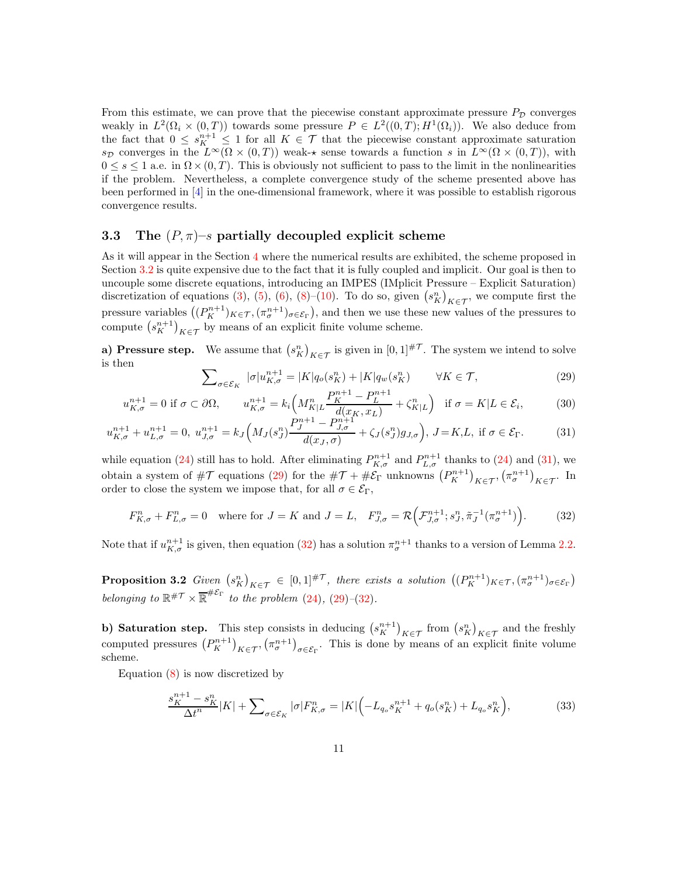From this estimate, we can prove that the piecewise constant approximate pressure  $P<sub>D</sub>$  converges weakly in  $L^2(\Omega_i \times (0,T))$  towards some pressure  $P \in L^2((0,T); H^1(\Omega_i))$ . We also deduce from the fact that  $0 \leq s_K^{n+1} \leq 1$  for all  $K \in \mathcal{T}$  that the piecewise constant approximate saturation s<sub>D</sub> converges in the  $L^{\infty}(\Omega \times (0,T))$  weak- $\star$  sense towards a function s in  $L^{\infty}(\Omega \times (0,T))$ , with  $0 \leq s \leq 1$  a.e. in  $\Omega \times (0, T)$ . This is obviously not sufficient to pass to the limit in the nonlinearities if the problem. Nevertheless, a complete convergence study of the scheme presented above has been performed in [\[4\]](#page-15-1) in the one-dimensional framework, where it was possible to establish rigorous convergence results.

### <span id="page-10-0"></span>3.3 The  $(P, \pi)-s$  partially decoupled explicit scheme

As it will appear in the Section [4](#page-12-0) where the numerical results are exhibited, the scheme proposed in Section [3.2](#page-8-0) is quite expensive due to the fact that it is fully coupled and implicit. Our goal is then to uncouple some discrete equations, introducing an IMPES (IMplicit Pressure – Explicit Saturation) discretization of equations [\(3\)](#page-2-3), [\(5\)](#page-3-1), [\(6\)](#page-3-4), [\(8\)](#page-3-3)–[\(10\)](#page-4-1). To do so, given  $(s_K^n)_{K \in \mathcal{T}}$ , we compute first the pressure variables  $((P_K^{n+1})_{K\in\mathcal{T}}, (\pi_{\sigma}^{n+1})_{\sigma\in\mathcal{E}_{\Gamma}})$ , and then we use these new values of the pressures to compute  $(s_K^{n+1})_{K \in \mathcal{T}}$  by means of an explicit finite volume scheme.

**a)** Pressure step. We assume that  $(s_K^n)_{K \in \mathcal{T}}$  is given in  $[0,1]^{\# \mathcal{T}}$ . The system we intend to solve is then

<span id="page-10-2"></span>
$$
\sum_{\sigma \in \mathcal{E}_K} |\sigma| u_{K,\sigma}^{n+1} = |K| q_o(s_K^n) + |K| q_w(s_K^n) \qquad \forall K \in \mathcal{T},
$$
\n
$$
P^{n+1} = P^{n+1} \qquad (29)
$$

<span id="page-10-1"></span>
$$
u_{K,\sigma}^{n+1} = 0 \text{ if } \sigma \subset \partial\Omega, \qquad u_{K,\sigma}^{n+1} = k_i \left( M_{K|L}^n \frac{P_K^{n+1} - P_L^{n+1}}{d(x_K, x_L)} + \zeta_{K|L}^n \right) \quad \text{if } \sigma = K|L \in \mathcal{E}_i,\tag{30}
$$

$$
u_{K,\sigma}^{n+1} + u_{L,\sigma}^{n+1} = 0, \ u_{J,\sigma}^{n+1} = k_J \left( M_J(s_J^n) \frac{P_J^{n+1} - P_{J,\sigma}^{n+1}}{d(x_J,\sigma)} + \zeta_J(s_J^n) g_{J,\sigma} \right), \ J = K, L, \text{ if } \sigma \in \mathcal{E}_{\Gamma}. \tag{31}
$$

while equation [\(24\)](#page-9-1) still has to hold. After eliminating  $P_{K,\sigma}^{n+1}$  and  $P_{L,\sigma}^{n+1}$  thanks to (24) and [\(31\)](#page-10-1), we obtain a system of  $\#\mathcal{T}$  equations [\(29\)](#page-10-2) for the  $\#\mathcal{T} + \#\mathcal{E}_{\Gamma}$  unknowns  $(P_K^{n+1})_{K \in \mathcal{T}}$ ,  $(\pi_\sigma^{n+1})_{K \in \mathcal{T}}$ . In order to close the system we impose that, for all  $\sigma \in \mathcal{E}_{\Gamma}$ ,

<span id="page-10-3"></span>
$$
F_{K,\sigma}^n + F_{L,\sigma}^n = 0 \quad \text{where for } J = K \text{ and } J = L, \quad F_{J,\sigma}^n = \mathcal{R}\Big(\mathcal{F}_{J,\sigma}^{n+1}; s_J^n, \tilde{\pi}_J^{-1}(\pi_\sigma^{n+1})\Big). \tag{32}
$$

Note that if  $u_{K,\sigma}^{n+1}$  is given, then equation [\(32\)](#page-10-3) has a solution  $\pi_{\sigma}^{n+1}$  thanks to a version of Lemma [2.2.](#page-6-2)

**Proposition 3.2** Given  $(s_K^n)_{K \in \mathcal{T}} \in [0,1]^{\# \mathcal{T}}$ , there exists a solution  $((P_K^{n+1})_{K \in \mathcal{T}}, (\pi_{\sigma}^{n+1})_{\sigma \in \mathcal{E}_{\Gamma}})$ belonging to  $\mathbb{R}^{\# \mathcal{T}} \times \overline{\mathbb{R}}^{\# \mathcal{E}_{\Gamma}}$  to the problem [\(24\)](#page-9-1), [\(29\)](#page-10-2)-[\(32\)](#page-10-3).

b) Saturation step. This step consists in deducing  $(s_K^{n+1})_{K \in \mathcal{T}}$  from  $(s_K^n)_{K \in \mathcal{T}}$  and the freshly computed pressures  $(P_K^{n+1})_{K \in \mathcal{T}}$ ,  $(\pi_\sigma^{n+1})_{\sigma \in \mathcal{E}_\Gamma}$ . This is done by means of an explicit finite volume scheme.

Equation  $(8)$  is now discretized by

<span id="page-10-4"></span>
$$
\frac{s_K^{n+1} - s_K^n}{\Delta t^n} |K| + \sum_{\sigma \in \mathcal{E}_K} |\sigma| F_{K,\sigma}^n = |K| \Big( -L_{q_o} s_K^{n+1} + q_o(s_K^n) + L_{q_o} s_K^n \Big),\tag{33}
$$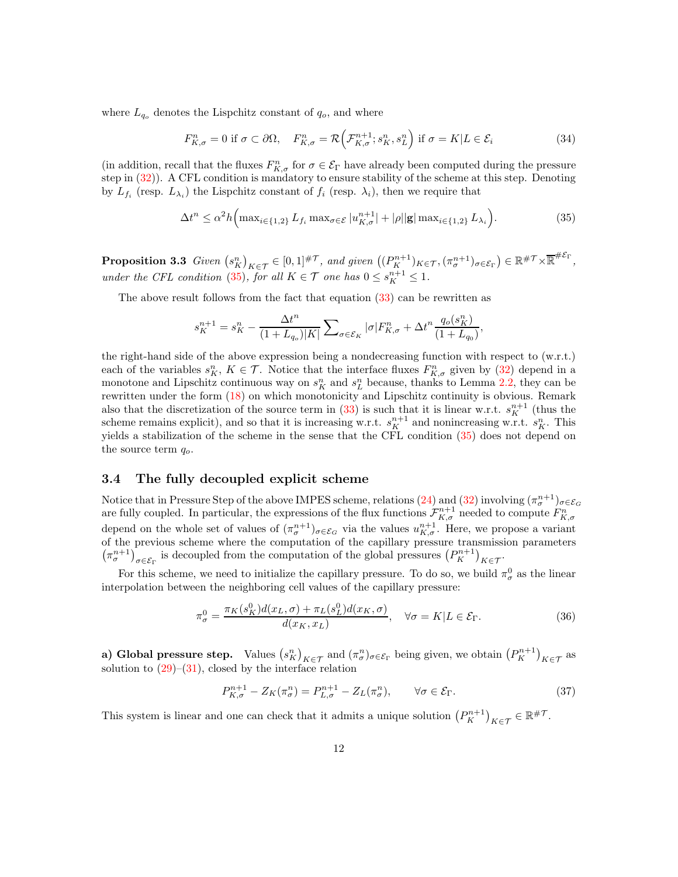where  $L_{q_o}$  denotes the Lispchitz constant of  $q_o$ , and where

<span id="page-11-2"></span>
$$
F_{K,\sigma}^n = 0 \text{ if } \sigma \subset \partial\Omega, \quad F_{K,\sigma}^n = \mathcal{R}\Big(\mathcal{F}_{K,\sigma}^{n+1}; s_K^n, s_L^n\Big) \text{ if } \sigma = K|L \in \mathcal{E}_i \tag{34}
$$

(in addition, recall that the fluxes  $F_{K,\sigma}^n$  for  $\sigma \in \mathcal{E}_{\Gamma}$  have already been computed during the pressure step in [\(32\)](#page-10-3)). A CFL condition is mandatory to ensure stability of the scheme at this step. Denoting by  $L_{f_i}$  (resp.  $L_{\lambda_i}$ ) the Lispchitz constant of  $f_i$  (resp.  $\lambda_i$ ), then we require that

<span id="page-11-1"></span>
$$
\Delta t^n \leq \alpha^2 h \Big( \max_{i \in \{1,2\}} L_{f_i} \max_{\sigma \in \mathcal{E}} |u_{K,\sigma}^{n+1}| + |\rho||\mathbf{g}| \max_{i \in \{1,2\}} L_{\lambda_i} \Big). \tag{35}
$$

**Proposition 3.3** Given  $(s_K^n)_{K \in \mathcal{T}} \in [0,1]^{\# \mathcal{T}}$ , and given  $((P_K^{n+1})_{K \in \mathcal{T}}, (\pi_\sigma^{n+1})_{\sigma \in \mathcal{E}_\Gamma}) \in \mathbb{R}^{\# \mathcal{T}} \times \overline{\mathbb{R}}^{\# \mathcal{E}_\Gamma}$ , under the CFL condition [\(35\)](#page-11-1), for all  $K \in \mathcal{T}$  one has  $0 \leq s_K^{n+1} \leq 1$ .

The above result follows from the fact that equation [\(33\)](#page-10-4) can be rewritten as

$$
s_K^{n+1}=s_K^n-\frac{\Delta t^n}{(1+L_{q_o})|K|}\sum\nolimits_{\sigma\in\mathcal{E}_K}|\sigma|F_{K,\sigma}^n+\Delta t^n\frac{q_o(s_K^n)}{(1+L_{q_o})},
$$

the right-hand side of the above expression being a nondecreasing function with respect to (w.r.t.) each of the variables  $s_K^n$ ,  $K \in \mathcal{T}$ . Notice that the interface fluxes  $F_{K,\sigma}^n$  given by [\(32\)](#page-10-3) depend in a monotone and Lipschitz continuous way on  $s_K^n$  and  $s_L^n$  because, thanks to Lemma [2.2,](#page-6-2) they can be rewritten under the form [\(18\)](#page-6-1) on which monotonicity and Lipschitz continuity is obvious. Remark also that the discretization of the source term in [\(33\)](#page-10-4) is such that it is linear w.r.t.  $s_K^{n+1}$  (thus the scheme remains explicit), and so that it is increasing w.r.t.  $s_K^{n+1}$  and nonincreasing w.r.t.  $s_K^n$ . This yields a stabilization of the scheme in the sense that the CFL condition [\(35\)](#page-11-1) does not depend on the source term  $q_o$ .

#### <span id="page-11-0"></span>3.4 The fully decoupled explicit scheme

Notice that in Pressure Step of the above IMPES scheme, relations [\(24\)](#page-9-1) and [\(32\)](#page-10-3) involving  $(\pi^{n+1}_{\sigma})_{\sigma \in \mathcal{E}_G}$ are fully coupled. In particular, the expressions of the flux functions  $\mathcal{F}_{K,\sigma}^{n+1}$  needed to compute  $F_{K,\sigma}^n$ depend on the whole set of values of  $(\pi_{\sigma}^{n+1})_{\sigma \in \mathcal{E}_G}$  via the values  $u_{K,\sigma}^{n+1}$ . Here, we propose a variant of the previous scheme where the computation of the capillary pressure transmission parameters  $(\pi_{\sigma}^{n+1})_{\sigma \in \mathcal{E}_{\Gamma}}$  is decoupled from the computation of the global pressures  $(P_K^{n+1})_{K \in \mathcal{T}}$ .

For this scheme, we need to initialize the capillary pressure. To do so, we build  $\pi_{\sigma}^{0}$  as the linear interpolation between the neighboring cell values of the capillary pressure:

$$
\pi_{\sigma}^{0} = \frac{\pi_{K}(s_{K}^{0})d(x_{L}, \sigma) + \pi_{L}(s_{L}^{0})d(x_{K}, \sigma)}{d(x_{K}, x_{L})}, \quad \forall \sigma = K | L \in \mathcal{E}_{\Gamma}.
$$
\n(36)

a) Global pressure step. Values  $(s_K^n)_{K \in \mathcal{T}}$  and  $(\pi_\sigma^n)_{\sigma \in \mathcal{E}_\Gamma}$  being given, we obtain  $(P_K^{n+1})_{K \in \mathcal{T}}$  as solution to  $(29)$ – $(31)$ , closed by the interface relation

$$
P_{K,\sigma}^{n+1} - Z_K(\pi_\sigma^n) = P_{L,\sigma}^{n+1} - Z_L(\pi_\sigma^n), \qquad \forall \sigma \in \mathcal{E}_{\Gamma}.
$$
\n(37)

This system is linear and one can check that it admits a unique solution  $(P_K^{n+1})_{K \in \mathcal{T}} \in \mathbb{R}^{\# \mathcal{T}}$ .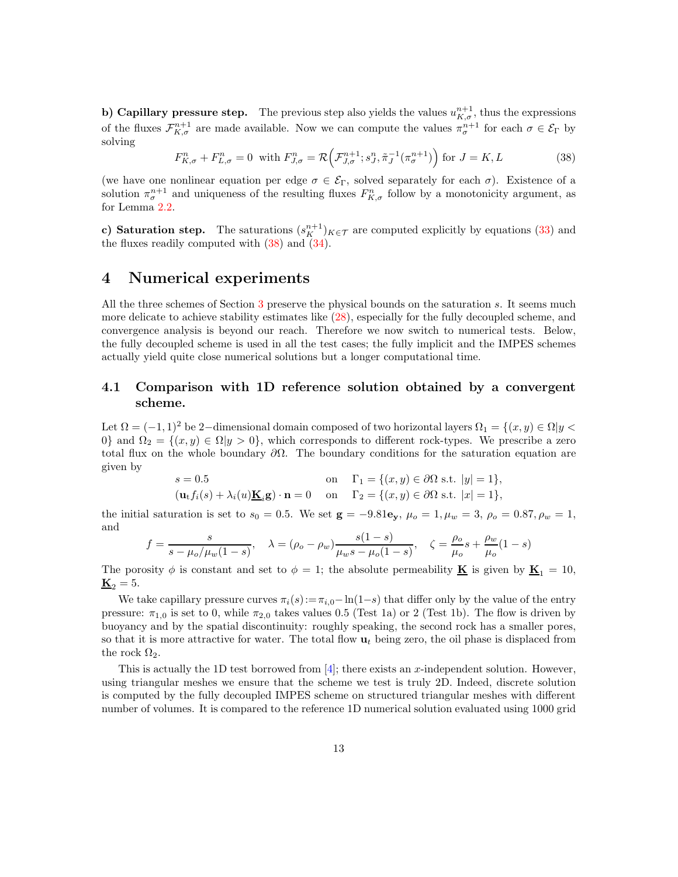b) Capillary pressure step. The previous step also yields the values  $u_{K,\sigma}^{n+1}$ , thus the expressions of the fluxes  $\mathcal{F}_{K,\sigma}^{n+1}$  are made available. Now we can compute the values  $\pi_{\sigma}^{n+1}$  for each  $\sigma \in \mathcal{E}_{\Gamma}$  by solving

<span id="page-12-1"></span>
$$
F_{K,\sigma}^n + F_{L,\sigma}^n = 0 \quad \text{with } F_{J,\sigma}^n = \mathcal{R}\left(\mathcal{F}_{J,\sigma}^{n+1}; s_J^n, \tilde{\pi}_J^{-1}(\pi_\sigma^{n+1})\right) \text{ for } J = K, L \tag{38}
$$

(we have one nonlinear equation per edge  $\sigma \in \mathcal{E}_{\Gamma}$ , solved separately for each  $\sigma$ ). Existence of a solution  $\pi_{\sigma}^{n+1}$  and uniqueness of the resulting fluxes  $F_{K,\sigma}^n$  follow by a monotonicity argument, as for Lemma [2.2.](#page-6-2)

c) Saturation step. The saturations  $(s_K^{n+1})_{K\in\mathcal{T}}$  are computed explicitly by equations [\(33\)](#page-10-4) and the fluxes readily computed with  $(38)$  and  $(34)$ .

### <span id="page-12-0"></span>4 Numerical experiments

All the three schemes of Section [3](#page-7-0) preserve the physical bounds on the saturation s. It seems much more delicate to achieve stability estimates like [\(28\)](#page-9-3), especially for the fully decoupled scheme, and convergence analysis is beyond our reach. Therefore we now switch to numerical tests. Below, the fully decoupled scheme is used in all the test cases; the fully implicit and the IMPES schemes actually yield quite close numerical solutions but a longer computational time.

## 4.1 Comparison with 1D reference solution obtained by a convergent scheme.

Let  $\Omega = (-1, 1)^2$  be 2-dimensional domain composed of two horizontal layers  $\Omega_1 = \{(x, y) \in \Omega | y \leq 1\}$ 0} and  $\Omega_2 = \{(x, y) \in \Omega | y > 0\}$ , which corresponds to different rock-types. We prescribe a zero total flux on the whole boundary  $\partial\Omega$ . The boundary conditions for the saturation equation are given by

$$
s = 0.5 \qquad \text{on} \quad \Gamma_1 = \{(x, y) \in \partial \Omega \text{ s.t. } |y| = 1\},
$$
  

$$
(\mathbf{u}_t f_i(s) + \lambda_i(u) \underline{\mathbf{K}}_i \mathbf{g}) \cdot \mathbf{n} = 0 \qquad \text{on} \qquad \Gamma_2 = \{(x, y) \in \partial \Omega \text{ s.t. } |x| = 1\},
$$

the initial saturation is set to  $s_0 = 0.5$ . We set  $\mathbf{g} = -9.81\mathbf{e_y}$ ,  $\mu_o = 1$ ,  $\mu_w = 3$ ,  $\rho_o = 0.87$ ,  $\rho_w = 1$ , and

$$
f = \frac{s}{s - \mu_o/\mu_w(1 - s)}, \quad \lambda = (\rho_o - \rho_w) \frac{s(1 - s)}{\mu_w s - \mu_o(1 - s)}, \quad \zeta = \frac{\rho_o}{\mu_o} s + \frac{\rho_w}{\mu_o}(1 - s)
$$

The porosity  $\phi$  is constant and set to  $\phi = 1$ ; the absolute permeability **K** is given by **K**<sub>1</sub> = 10,  $\underline{\mathbf{K}}_2 = 5.$ 

We take capillary pressure curves  $\pi_i(s) := \pi_{i,0} - \ln(1-s)$  that differ only by the value of the entry pressure:  $\pi_{1,0}$  is set to 0, while  $\pi_{2,0}$  takes values 0.5 (Test 1a) or 2 (Test 1b). The flow is driven by buoyancy and by the spatial discontinuity: roughly speaking, the second rock has a smaller pores, so that it is more attractive for water. The total flow  $\mathbf{u}_t$  being zero, the oil phase is displaced from the rock  $\Omega_2$ .

This is actually the 1D test borrowed from  $[4]$ ; there exists an x-independent solution. However, using triangular meshes we ensure that the scheme we test is truly 2D. Indeed, discrete solution is computed by the fully decoupled IMPES scheme on structured triangular meshes with different number of volumes. It is compared to the reference 1D numerical solution evaluated using 1000 grid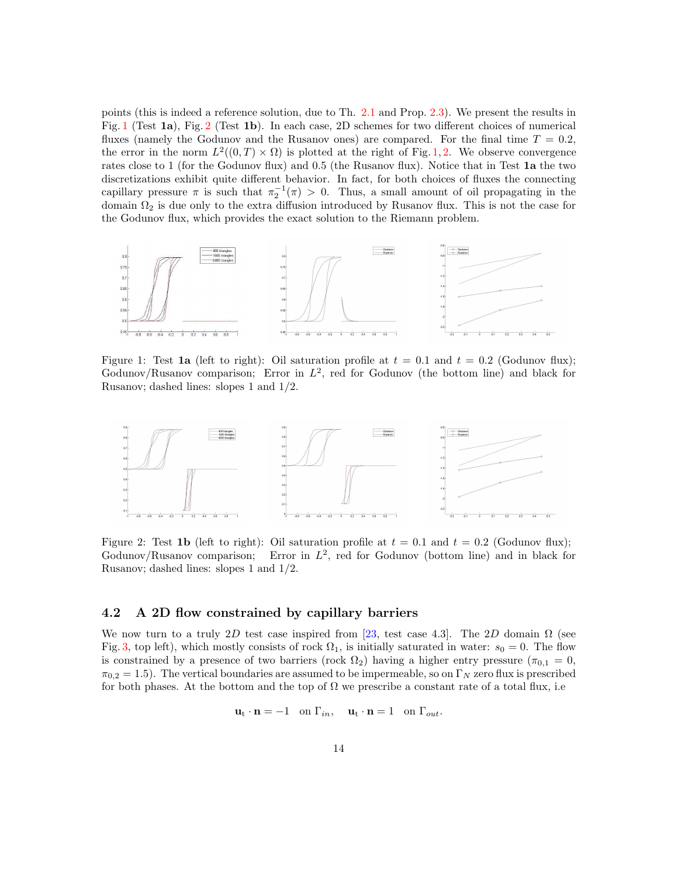points (this is indeed a reference solution, due to Th. [2.1](#page-5-2) and Prop. [2.3\)](#page-7-2). We present the results in Fig. [1](#page-13-0) (Test 1a), Fig. [2](#page-13-1) (Test 1b). In each case, 2D schemes for two different choices of numerical fluxes (namely the Godunov and the Rusanov ones) are compared. For the final time  $T = 0.2$ , the error in the norm  $L^2((0,T) \times \Omega)$  is plotted at the right of Fig. [1,](#page-13-0) [2.](#page-13-1) We observe convergence rates close to 1 (for the Godunov flux) and 0.5 (the Rusanov flux). Notice that in Test 1a the two discretizations exhibit quite different behavior. In fact, for both choices of fluxes the connecting capillary pressure  $\pi$  is such that  $\pi_2^{-1}(\pi) > 0$ . Thus, a small amount of oil propagating in the domain  $\Omega_2$  is due only to the extra diffusion introduced by Rusanov flux. This is not the case for the Godunov flux, which provides the exact solution to the Riemann problem.



<span id="page-13-0"></span>Figure 1: Test 1a (left to right): Oil saturation profile at  $t = 0.1$  and  $t = 0.2$  (Godunov flux); Godunov/Rusanov comparison; Error in  $L^2$ , red for Godunov (the bottom line) and black for Rusanov; dashed lines: slopes 1 and 1/2.



<span id="page-13-1"></span>Figure 2: Test 1b (left to right): Oil saturation profile at  $t = 0.1$  and  $t = 0.2$  (Godunov flux); Godunov/Rusanov comparison; Error in  $L^2$ , red for Godunov (bottom line) and in black for Rusanov; dashed lines: slopes 1 and 1/2.

### 4.2 A 2D flow constrained by capillary barriers

We now turn to a truly 2D test case inspired from [\[23,](#page-16-6) test case 4.3]. The 2D domain  $\Omega$  (see Fig. [3,](#page-14-2) top left), which mostly consists of rock  $\Omega_1$ , is initially saturated in water:  $s_0 = 0$ . The flow is constrained by a presence of two barriers (rock  $\Omega_2$ ) having a higher entry pressure ( $\pi_{0,1} = 0$ ,  $\pi_{0,2} = 1.5$ ). The vertical boundaries are assumed to be impermeable, so on  $\Gamma_N$  zero flux is prescribed for both phases. At the bottom and the top of  $\Omega$  we prescribe a constant rate of a total flux, i.e.

$$
\mathbf{u}_{t} \cdot \mathbf{n} = -1 \quad \text{on } \Gamma_{in}, \quad \mathbf{u}_{t} \cdot \mathbf{n} = 1 \quad \text{on } \Gamma_{out}.
$$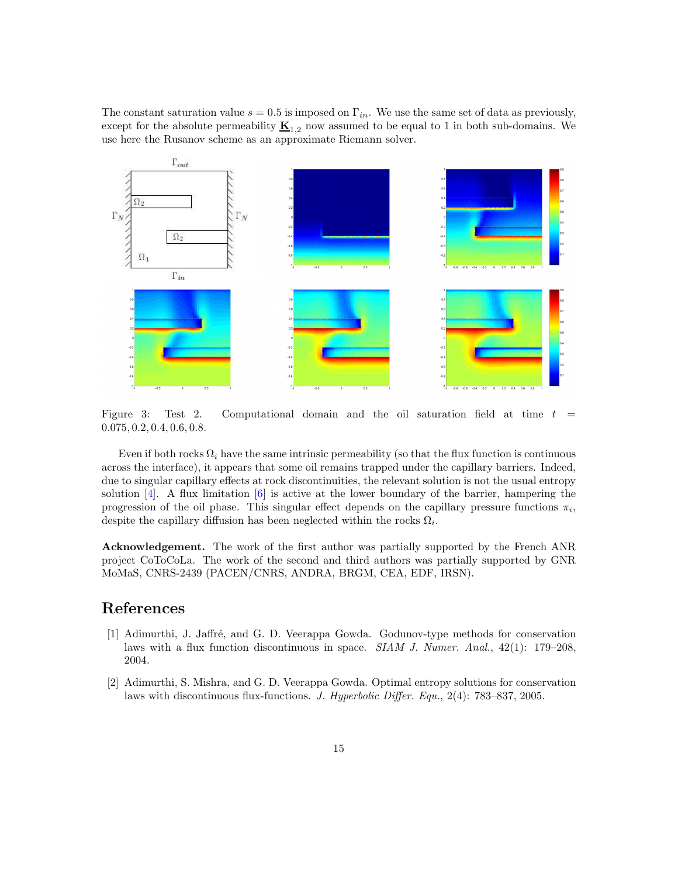The constant saturation value  $s = 0.5$  is imposed on  $\Gamma_{in}$ . We use the same set of data as previously, except for the absolute permeability  $\underline{\mathbf{K}}_{1,2}$  now assumed to be equal to 1 in both sub-domains. We use here the Rusanov scheme as an approximate Riemann solver.



<span id="page-14-2"></span>Figure 3: Test 2. Computational domain and the oil saturation field at time  $t =$ 0.075, 0.2, 0.4, 0.6, 0.8.

Even if both rocks  $\Omega_i$  have the same intrinsic permeability (so that the flux function is continuous across the interface), it appears that some oil remains trapped under the capillary barriers. Indeed, due to singular capillary effects at rock discontinuities, the relevant solution is not the usual entropy solution  $[4]$ . A flux limitation  $[6]$  is active at the lower boundary of the barrier, hampering the progression of the oil phase. This singular effect depends on the capillary pressure functions  $\pi_i$ , despite the capillary diffusion has been neglected within the rocks  $\Omega_i$ .

Acknowledgement. The work of the first author was partially supported by the French ANR project CoToCoLa. The work of the second and third authors was partially supported by GNR MoMaS, CNRS-2439 (PACEN/CNRS, ANDRA, BRGM, CEA, EDF, IRSN).

## <span id="page-14-0"></span>References

- [1] Adimurthi, J. Jaffré, and G. D. Veerappa Gowda. Godunov-type methods for conservation laws with a flux function discontinuous in space. *SIAM J. Numer. Anal.*,  $42(1)$ : 179–208, 2004.
- <span id="page-14-1"></span>[2] Adimurthi, S. Mishra, and G. D. Veerappa Gowda. Optimal entropy solutions for conservation laws with discontinuous flux-functions. J. Hyperbolic Differ. Equ., 2(4): 783–837, 2005.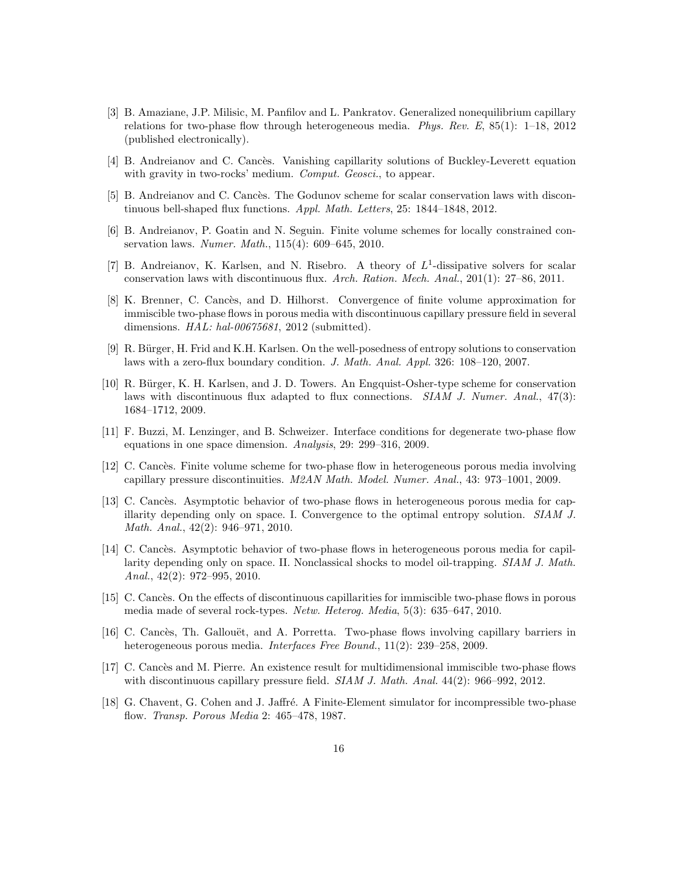- <span id="page-15-8"></span>[3] B. Amaziane, J.P. Milisic, M. Panfilov and L. Pankratov. Generalized nonequilibrium capillary relations for two-phase flow through heterogeneous media. Phys. Rev. E,  $85(1)$ : 1–18, 2012 (published electronically).
- <span id="page-15-7"></span><span id="page-15-1"></span>[4] B. Andreianov and C. Cancès. Vanishing capillarity solutions of Buckley-Leverett equation with gravity in two-rocks' medium. *Comput. Geosci.*, to appear.
- <span id="page-15-13"></span>[5] B. Andreianov and C. Cancès. The Godunov scheme for scalar conservation laws with discontinuous bell-shaped flux functions. Appl. Math. Letters, 25: 1844–1848, 2012.
- [6] B. Andreianov, P. Goatin and N. Seguin. Finite volume schemes for locally constrained conservation laws. Numer. Math., 115(4): 609–645, 2010.
- <span id="page-15-10"></span>[7] B. Andreianov, K. Karlsen, and N. Risebro. A theory of  $L^1$ -dissipative solvers for scalar conservation laws with discontinuous flux. Arch. Ration. Mech. Anal., 201(1): 27–86, 2011.
- <span id="page-15-2"></span>[8] K. Brenner, C. Cancès, and D. Hilhorst. Convergence of finite volume approximation for immiscible two-phase flows in porous media with discontinuous capillary pressure field in several dimensions. HAL: hal-00675681, 2012 (submitted).
- <span id="page-15-9"></span>[9] R. Bürger, H. Frid and K.H. Karlsen. On the well-posedness of entropy solutions to conservation laws with a zero-flux boundary condition. J. Math. Anal. Appl. 326: 108–120, 2007.
- <span id="page-15-5"></span>[10] R. Bürger, K. H. Karlsen, and J. D. Towers. An Engquist-Osher-type scheme for conservation laws with discontinuous flux adapted to flux connections. *SIAM J. Numer. Anal.*, 47(3): 1684–1712, 2009.
- [11] F. Buzzi, M. Lenzinger, and B. Schweizer. Interface conditions for degenerate two-phase flow equations in one space dimension. Analysis, 29: 299–316, 2009.
- [12] C. Cancès. Finite volume scheme for two-phase flow in heterogeneous porous media involving capillary pressure discontinuities. M2AN Math. Model. Numer. Anal., 43: 973–1001, 2009.
- <span id="page-15-3"></span>[13] C. Cancès. Asymptotic behavior of two-phase flows in heterogeneous porous media for capillarity depending only on space. I. Convergence to the optimal entropy solution. SIAM J. Math. Anal., 42(2): 946–971, 2010.
- <span id="page-15-4"></span>[14] C. Cancès. Asymptotic behavior of two-phase flows in heterogeneous porous media for capillarity depending only on space. II. Nonclassical shocks to model oil-trapping. SIAM J. Math. Anal.,  $42(2): 972-995, 2010.$
- <span id="page-15-6"></span>[15] C. Cancès. On the effects of discontinuous capillarities for immiscible two-phase flows in porous media made of several rock-types. Netw. Heterog. Media, 5(3): 635–647, 2010.
- <span id="page-15-11"></span>[16] C. Cancès, Th. Gallouët, and A. Porretta. Two-phase flows involving capillary barriers in heterogeneous porous media. Interfaces Free Bound., 11(2): 239–258, 2009.
- <span id="page-15-0"></span>[17] C. Cancès and M. Pierre. An existence result for multidimensional immiscible two-phase flows with discontinuous capillary pressure field. *SIAM J. Math. Anal.* 44(2): 966–992, 2012.
- <span id="page-15-12"></span>[18] G. Chavent, G. Cohen and J. Jaffré. A Finite-Element simulator for incompressible two-phase flow. Transp. Porous Media 2: 465–478, 1987.